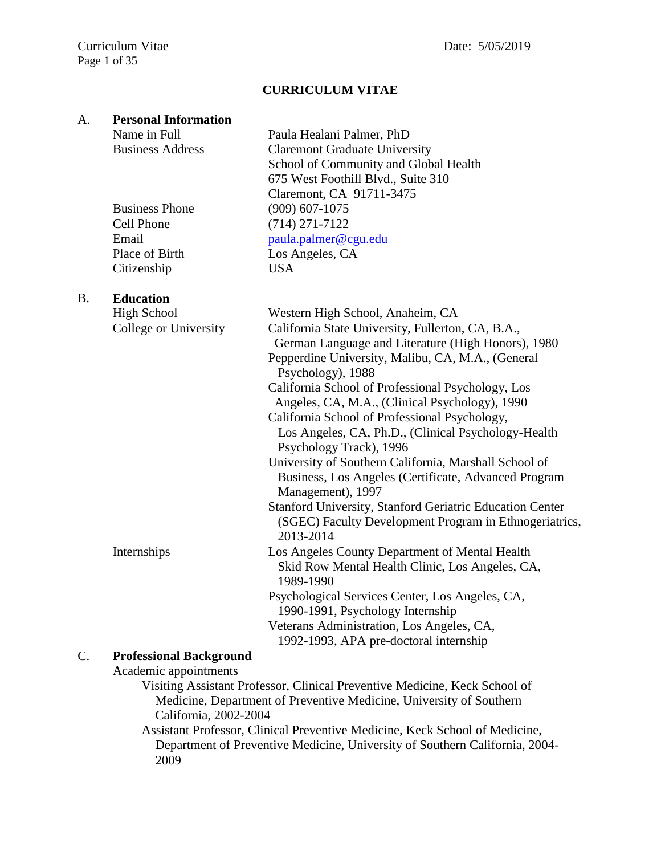# **CURRICULUM VITAE**

## A. **Personal Information**

Name in Full Paula Healani Palmer, PhD Business Address Claremont Graduate University School of Community and Global Health 675 West Foothill Blvd., Suite 310 Claremont, CA 91711-3475 Business Phone (909) 607-1075 Cell Phone Email (714) 271-7122 [paula.palmer@cgu.edu](LATEST%20CVS/paula.palmer@cgu.edu) Place of Birth Los Angeles, CA Citizenship USA

# B. **Education**

|    | <b>High School</b>             | Western High School, Anaheim, CA                                           |
|----|--------------------------------|----------------------------------------------------------------------------|
|    | College or University          | California State University, Fullerton, CA, B.A.,                          |
|    |                                | German Language and Literature (High Honors), 1980                         |
|    |                                | Pepperdine University, Malibu, CA, M.A., (General                          |
|    |                                | Psychology), 1988                                                          |
|    |                                | California School of Professional Psychology, Los                          |
|    |                                | Angeles, CA, M.A., (Clinical Psychology), 1990                             |
|    |                                | California School of Professional Psychology,                              |
|    |                                | Los Angeles, CA, Ph.D., (Clinical Psychology-Health                        |
|    |                                | Psychology Track), 1996                                                    |
|    |                                | University of Southern California, Marshall School of                      |
|    |                                | Business, Los Angeles (Certificate, Advanced Program                       |
|    |                                | Management), 1997                                                          |
|    |                                | <b>Stanford University, Stanford Geriatric Education Center</b>            |
|    |                                | (SGEC) Faculty Development Program in Ethnogeriatrics,                     |
|    |                                | 2013-2014                                                                  |
|    | Internships                    | Los Angeles County Department of Mental Health                             |
|    |                                | Skid Row Mental Health Clinic, Los Angeles, CA,<br>1989-1990               |
|    |                                | Psychological Services Center, Los Angeles, CA,                            |
|    |                                | 1990-1991, Psychology Internship                                           |
|    |                                | Veterans Administration, Los Angeles, CA,                                  |
|    |                                | 1992-1993, APA pre-doctoral internship                                     |
| C. | <b>Professional Background</b> |                                                                            |
|    | Academic appointments          |                                                                            |
|    |                                | Visiting Assistant Professor, Clinical Preventive Medicine, Keck School of |
|    |                                | Medicine, Department of Preventive Medicine, University of Southern        |

California, 2002-2004

Assistant Professor, Clinical Preventive Medicine, Keck School of Medicine, Department of Preventive Medicine, University of Southern California, 2004- 2009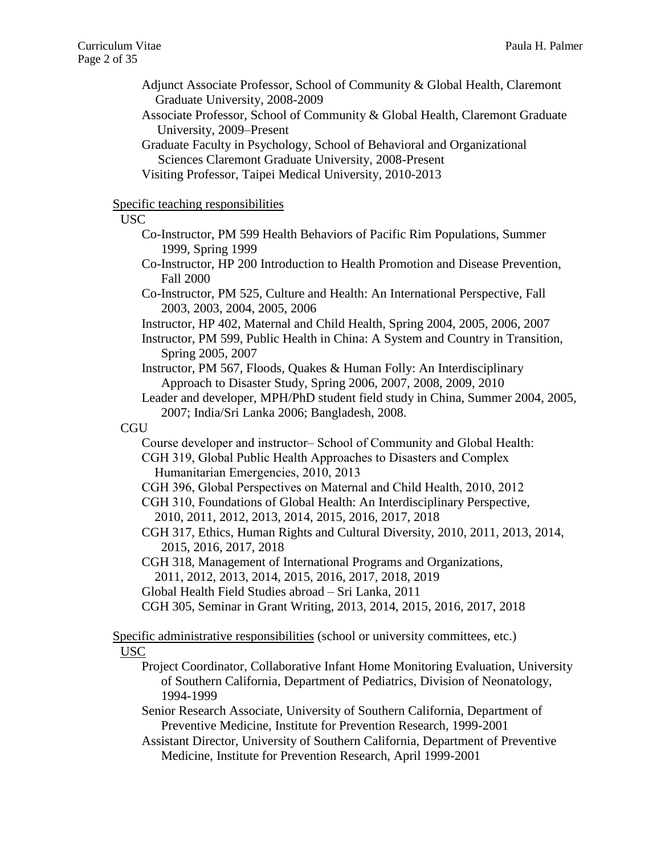- Adjunct Associate Professor, School of Community & Global Health, Claremont Graduate University, 2008-2009
- Associate Professor, School of Community & Global Health, Claremont Graduate University, 2009–Present
- Graduate Faculty in Psychology, School of Behavioral and Organizational Sciences Claremont Graduate University, 2008-Present

Visiting Professor, Taipei Medical University, 2010-2013

## Specific teaching responsibilities

#### USC

- Co-Instructor, PM 599 Health Behaviors of Pacific Rim Populations, Summer 1999, Spring 1999
- Co-Instructor, HP 200 Introduction to Health Promotion and Disease Prevention, Fall 2000
- Co-Instructor, PM 525, Culture and Health: An International Perspective, Fall 2003, 2003, 2004, 2005, 2006
- Instructor, HP 402, Maternal and Child Health, Spring 2004, 2005, 2006, 2007
- Instructor, PM 599, Public Health in China: A System and Country in Transition, Spring 2005, 2007
- Instructor, PM 567, Floods, Quakes & Human Folly: An Interdisciplinary Approach to Disaster Study, Spring 2006, 2007, 2008, 2009, 2010
- Leader and developer, MPH/PhD student field study in China, Summer 2004, 2005, 2007; India/Sri Lanka 2006; Bangladesh, 2008.

# CGU

- Course developer and instructor– School of Community and Global Health: CGH 319, Global Public Health Approaches to Disasters and Complex
	- Humanitarian Emergencies, 2010, 2013
- CGH 396, Global Perspectives on Maternal and Child Health, 2010, 2012
- CGH 310, Foundations of Global Health: An Interdisciplinary Perspective, 2010, 2011, 2012, 2013, 2014, 2015, 2016, 2017, 2018
- CGH 317, Ethics, Human Rights and Cultural Diversity, 2010, 2011, 2013, 2014, 2015, 2016, 2017, 2018
- CGH 318, Management of International Programs and Organizations,
- 2011, 2012, 2013, 2014, 2015, 2016, 2017, 2018, 2019
- Global Health Field Studies abroad Sri Lanka, 2011
- CGH 305, Seminar in Grant Writing, 2013, 2014, 2015, 2016, 2017, 2018

Specific administrative responsibilities (school or university committees, etc.)

#### USC

- Project Coordinator, Collaborative Infant Home Monitoring Evaluation, University of Southern California, Department of Pediatrics, Division of Neonatology, 1994-1999
- Senior Research Associate, University of Southern California, Department of Preventive Medicine, Institute for Prevention Research, 1999-2001
- Assistant Director, University of Southern California, Department of Preventive Medicine, Institute for Prevention Research, April 1999-2001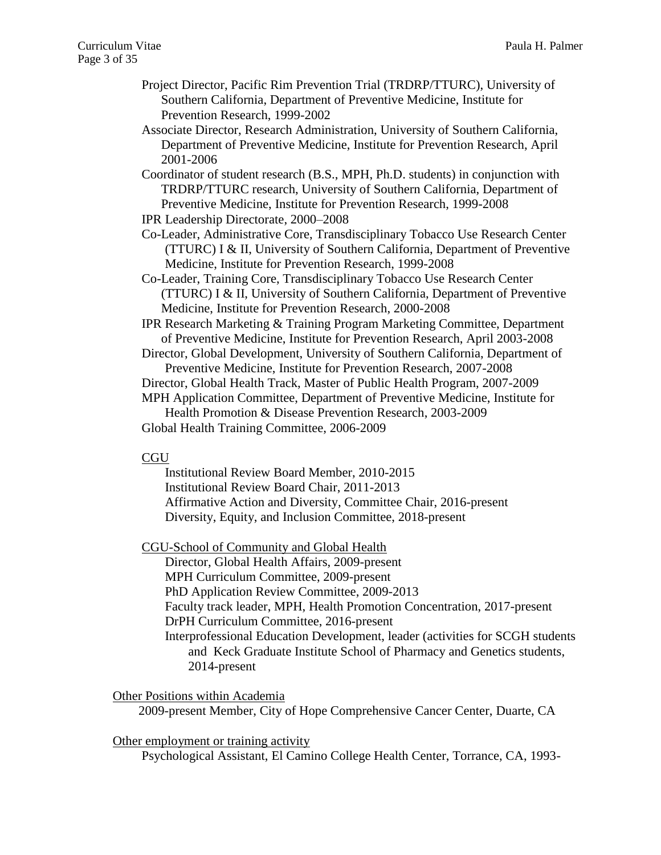- Project Director, Pacific Rim Prevention Trial (TRDRP/TTURC), University of Southern California, Department of Preventive Medicine, Institute for Prevention Research, 1999-2002
- Associate Director, Research Administration, University of Southern California, Department of Preventive Medicine, Institute for Prevention Research, April 2001-2006
- Coordinator of student research (B.S., MPH, Ph.D. students) in conjunction with TRDRP/TTURC research, University of Southern California, Department of Preventive Medicine, Institute for Prevention Research, 1999-2008
- IPR Leadership Directorate, 2000–2008
- Co-Leader, Administrative Core, Transdisciplinary Tobacco Use Research Center (TTURC) I & II, University of Southern California, Department of Preventive Medicine, Institute for Prevention Research, 1999-2008
- Co-Leader, Training Core, Transdisciplinary Tobacco Use Research Center (TTURC) I & II, University of Southern California, Department of Preventive Medicine, Institute for Prevention Research, 2000-2008

IPR Research Marketing & Training Program Marketing Committee, Department of Preventive Medicine, Institute for Prevention Research, April 2003-2008

- Director, Global Development, University of Southern California, Department of Preventive Medicine, Institute for Prevention Research, 2007-2008
- Director, Global Health Track, Master of Public Health Program, 2007-2009

MPH Application Committee, Department of Preventive Medicine, Institute for Health Promotion & Disease Prevention Research, 2003-2009

Global Health Training Committee, 2006-2009

## **CGU**

Institutional Review Board Member, 2010-2015 Institutional Review Board Chair, 2011-2013 Affirmative Action and Diversity, Committee Chair, 2016-present Diversity, Equity, and Inclusion Committee, 2018-present

CGU-School of Community and Global Health

Director, Global Health Affairs, 2009-present MPH Curriculum Committee, 2009-present PhD Application Review Committee, 2009-2013 Faculty track leader, MPH, Health Promotion Concentration, 2017-present DrPH Curriculum Committee, 2016-present Interprofessional Education Development, leader (activities for SCGH students and Keck Graduate Institute School of Pharmacy and Genetics students, 2014-present

#### Other Positions within Academia

2009-present Member, City of Hope Comprehensive Cancer Center, Duarte, CA

# Other employment or training activity

Psychological Assistant, El Camino College Health Center, Torrance, CA, 1993-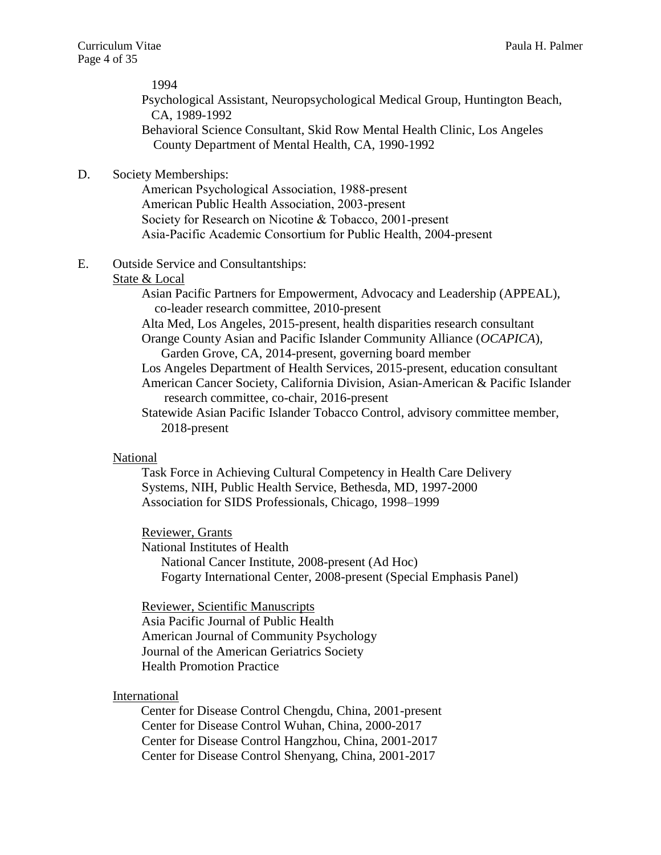Psychological Assistant, Neuropsychological Medical Group, Huntington Beach, CA, 1989-1992 Behavioral Science Consultant, Skid Row Mental Health Clinic, Los Angeles County Department of Mental Health, CA, 1990-1992

D. Society Memberships:

American Psychological Association, 1988-present American Public Health Association, 2003-present Society for Research on Nicotine & Tobacco, 2001-present Asia-Pacific Academic Consortium for Public Health, 2004-present

E. Outside Service and Consultantships:

#### State & Local

Asian Pacific Partners for Empowerment, Advocacy and Leadership (APPEAL), co-leader research committee, 2010-present

Alta Med, Los Angeles, 2015-present, health disparities research consultant

Orange County Asian and Pacific Islander Community Alliance (*OCAPICA*), Garden Grove, CA, 2014-present, governing board member

Los Angeles Department of Health Services, 2015-present, education consultant American Cancer Society, California Division, Asian-American & Pacific Islander research committee, co-chair, 2016-present

Statewide Asian Pacific Islander Tobacco Control, advisory committee member, 2018-present

#### National

Task Force in Achieving Cultural Competency in Health Care Delivery Systems, NIH, Public Health Service, Bethesda, MD, 1997-2000 Association for SIDS Professionals, Chicago, 1998–1999

Reviewer, Grants

National Institutes of Health National Cancer Institute, 2008-present (Ad Hoc) Fogarty International Center, 2008-present (Special Emphasis Panel)

Reviewer, Scientific Manuscripts Asia Pacific Journal of Public Health American Journal of Community Psychology Journal of the American Geriatrics Society Health Promotion Practice

#### International

Center for Disease Control Chengdu, China, 2001-present Center for Disease Control Wuhan, China, 2000-2017 Center for Disease Control Hangzhou, China, 2001-2017 Center for Disease Control Shenyang, China, 2001-2017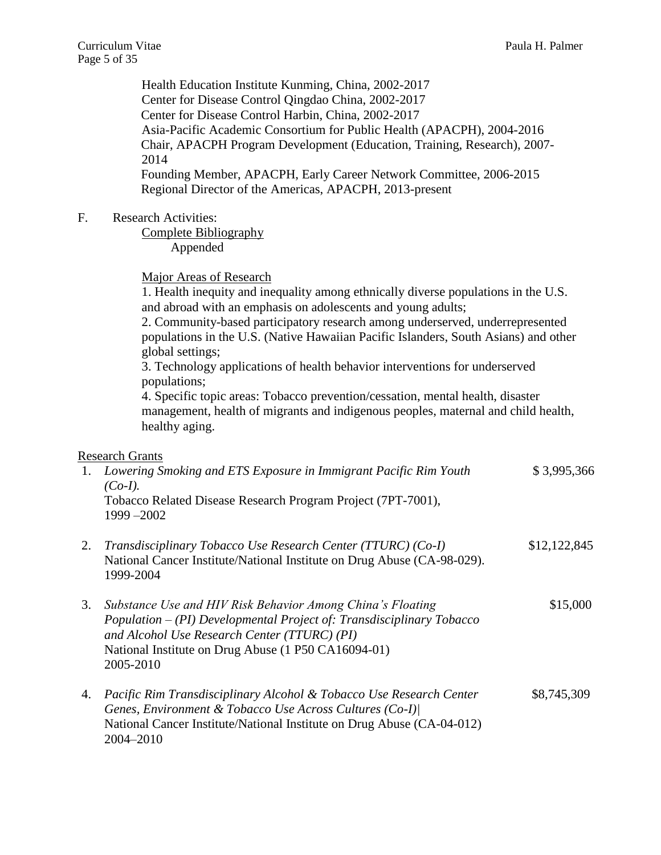|    | Health Education Institute Kunming, China, 2002-2017<br>Center for Disease Control Qingdao China, 2002-2017<br>Center for Disease Control Harbin, China, 2002-2017<br>Asia-Pacific Academic Consortium for Public Health (APACPH), 2004-2016<br>Chair, APACPH Program Development (Education, Training, Research), 2007-<br>2014<br>Founding Member, APACPH, Early Career Network Committee, 2006-2015<br>Regional Director of the Americas, APACPH, 2013-present                                                                                                                                                                                                        |              |
|----|--------------------------------------------------------------------------------------------------------------------------------------------------------------------------------------------------------------------------------------------------------------------------------------------------------------------------------------------------------------------------------------------------------------------------------------------------------------------------------------------------------------------------------------------------------------------------------------------------------------------------------------------------------------------------|--------------|
| F. | <b>Research Activities:</b><br><b>Complete Bibliography</b><br>Appended                                                                                                                                                                                                                                                                                                                                                                                                                                                                                                                                                                                                  |              |
|    | <b>Major Areas of Research</b><br>1. Health inequity and inequality among ethnically diverse populations in the U.S.<br>and abroad with an emphasis on adolescents and young adults;<br>2. Community-based participatory research among underserved, underrepresented<br>populations in the U.S. (Native Hawaiian Pacific Islanders, South Asians) and other<br>global settings;<br>3. Technology applications of health behavior interventions for underserved<br>populations;<br>4. Specific topic areas: Tobacco prevention/cessation, mental health, disaster<br>management, health of migrants and indigenous peoples, maternal and child health,<br>healthy aging. |              |
| 1. | <b>Research Grants</b><br>Lowering Smoking and ETS Exposure in Immigrant Pacific Rim Youth<br>$(Co-I).$<br>Tobacco Related Disease Research Program Project (7PT-7001),<br>$1999 - 2002$                                                                                                                                                                                                                                                                                                                                                                                                                                                                                 | \$3,995,366  |
| 2. | Transdisciplinary Tobacco Use Research Center (TTURC) (Co-I)<br>National Cancer Institute/National Institute on Drug Abuse (CA-98-029).<br>1999-2004                                                                                                                                                                                                                                                                                                                                                                                                                                                                                                                     | \$12,122,845 |
| 3. | Substance Use and HIV Risk Behavior Among China's Floating<br>Population - (PI) Developmental Project of: Transdisciplinary Tobacco<br>and Alcohol Use Research Center (TTURC) (PI)<br>National Institute on Drug Abuse (1 P50 CA16094-01)<br>2005-2010                                                                                                                                                                                                                                                                                                                                                                                                                  | \$15,000     |
| 4. | Pacific Rim Transdisciplinary Alcohol & Tobacco Use Research Center<br>Genes, Environment & Tobacco Use Across Cultures (Co-I)<br>National Cancer Institute/National Institute on Drug Abuse (CA-04-012)<br>2004-2010                                                                                                                                                                                                                                                                                                                                                                                                                                                    | \$8,745,309  |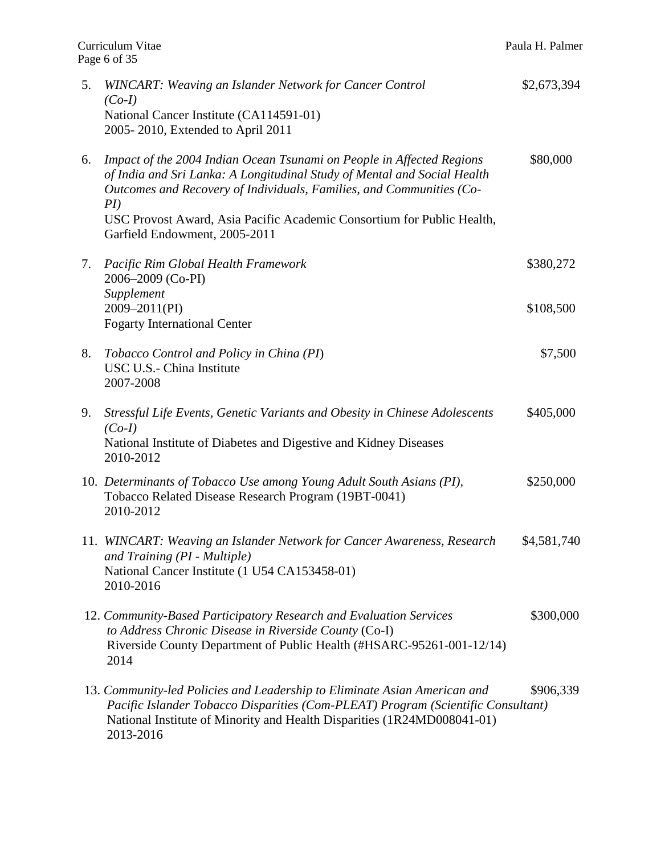| 5. | <b>WINCART: Weaving an Islander Network for Cancer Control</b><br>$(Co-I)$<br>National Cancer Institute (CA114591-01)<br>2005-2010, Extended to April 2011                                                                                            | \$2,673,394 |
|----|-------------------------------------------------------------------------------------------------------------------------------------------------------------------------------------------------------------------------------------------------------|-------------|
| 6. | Impact of the 2004 Indian Ocean Tsunami on People in Affected Regions<br>of India and Sri Lanka: A Longitudinal Study of Mental and Social Health<br>Outcomes and Recovery of Individuals, Families, and Communities (Co-<br>PI)                      | \$80,000    |
|    | USC Provost Award, Asia Pacific Academic Consortium for Public Health,<br>Garfield Endowment, 2005-2011                                                                                                                                               |             |
| 7. | Pacific Rim Global Health Framework<br>2006-2009 (Co-PI)                                                                                                                                                                                              | \$380,272   |
|    | Supplement<br>2009-2011(PI)<br><b>Fogarty International Center</b>                                                                                                                                                                                    | \$108,500   |
| 8. | Tobacco Control and Policy in China (PI)<br>USC U.S.- China Institute<br>2007-2008                                                                                                                                                                    | \$7,500     |
| 9. | Stressful Life Events, Genetic Variants and Obesity in Chinese Adolescents<br>$(Co-I)$<br>National Institute of Diabetes and Digestive and Kidney Diseases<br>2010-2012                                                                               | \$405,000   |
|    | 10. Determinants of Tobacco Use among Young Adult South Asians (PI),<br>Tobacco Related Disease Research Program (19BT-0041)<br>2010-2012                                                                                                             | \$250,000   |
|    | 11. WINCART: Weaving an Islander Network for Cancer Awareness, Research<br>and Training (PI - Multiple)<br>National Cancer Institute (1 U54 CA153458-01)<br>2010-2016                                                                                 | \$4,581,740 |
|    | 12. Community-Based Participatory Research and Evaluation Services<br>to Address Chronic Disease in Riverside County (Co-I)<br>Riverside County Department of Public Health (#HSARC-95261-001-12/14)<br>2014                                          | \$300,000   |
|    | 13. Community-led Policies and Leadership to Eliminate Asian American and<br>Pacific Islander Tobacco Disparities (Com-PLEAT) Program (Scientific Consultant)<br>National Institute of Minority and Health Disparities (1R24MD008041-01)<br>2013-2016 | \$906,339   |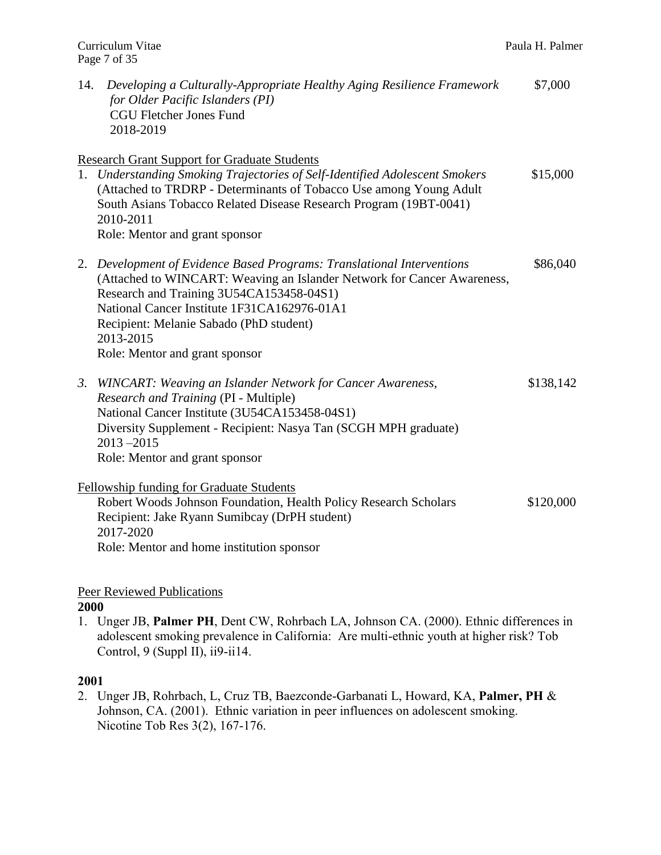| 14. | Developing a Culturally-Appropriate Healthy Aging Resilience Framework<br>for Older Pacific Islanders (PI)<br><b>CGU Fletcher Jones Fund</b><br>2018-2019                                                                                                                                                                              | \$7,000   |
|-----|----------------------------------------------------------------------------------------------------------------------------------------------------------------------------------------------------------------------------------------------------------------------------------------------------------------------------------------|-----------|
|     | <b>Research Grant Support for Graduate Students</b><br>1. Understanding Smoking Trajectories of Self-Identified Adolescent Smokers<br>(Attached to TRDRP - Determinants of Tobacco Use among Young Adult<br>South Asians Tobacco Related Disease Research Program (19BT-0041)<br>2010-2011<br>Role: Mentor and grant sponsor           | \$15,000  |
|     | 2. Development of Evidence Based Programs: Translational Interventions<br>(Attached to WINCART: Weaving an Islander Network for Cancer Awareness,<br>Research and Training 3U54CA153458-04S1)<br>National Cancer Institute 1F31CA162976-01A1<br>Recipient: Melanie Sabado (PhD student)<br>2013-2015<br>Role: Mentor and grant sponsor | \$86,040  |
|     | 3. WINCART: Weaving an Islander Network for Cancer Awareness,<br>Research and Training (PI - Multiple)<br>National Cancer Institute (3U54CA153458-04S1)<br>Diversity Supplement - Recipient: Nasya Tan (SCGH MPH graduate)<br>$2013 - 2015$<br>Role: Mentor and grant sponsor                                                          | \$138,142 |
|     | <b>Fellowship funding for Graduate Students</b><br>Robert Woods Johnson Foundation, Health Policy Research Scholars<br>Recipient: Jake Ryann Sumibcay (DrPH student)<br>2017-2020                                                                                                                                                      | \$120,000 |

# Peer Reviewed Publications

Role: Mentor and home institution sponsor

# **2000**

1. Unger JB, **Palmer PH**, Dent CW, Rohrbach LA, Johnson CA. (2000). Ethnic differences in adolescent smoking prevalence in California: Are multi-ethnic youth at higher risk? Tob Control,  $9$  (Suppl II), ii $9$ -ii $14$ .

#### **2001**

2. Unger JB, Rohrbach, L, Cruz TB, Baezconde-Garbanati L, Howard, KA, **Palmer, PH** & Johnson, CA. (2001). Ethnic variation in peer influences on adolescent smoking. Nicotine Tob Res 3(2), 167-176.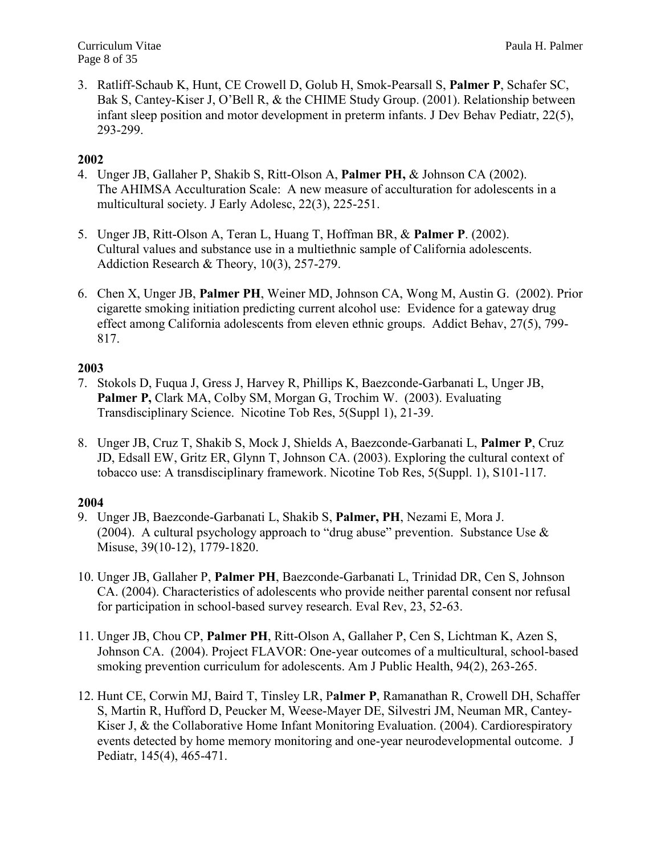3. Ratliff-Schaub K, Hunt, CE Crowell D, Golub H, Smok-Pearsall S, **Palmer P**, Schafer SC, Bak S, Cantey-Kiser J, O'Bell R, & the CHIME Study Group. (2001). Relationship between infant sleep position and motor development in preterm infants. J Dev Behav Pediatr, 22(5), 293-299.

# **2002**

- 4. Unger JB, Gallaher P, Shakib S, Ritt-Olson A, **Palmer PH,** & Johnson CA (2002). The AHIMSA Acculturation Scale: A new measure of acculturation for adolescents in a multicultural society. J Early Adolesc, 22(3), 225-251.
- 5. Unger JB, Ritt-Olson A, Teran L, Huang T, Hoffman BR, & **Palmer P**. (2002). Cultural values and substance use in a multiethnic sample of California adolescents. Addiction Research & Theory, 10(3), 257-279.
- 6. Chen X, Unger JB, **Palmer PH**, Weiner MD, Johnson CA, Wong M, Austin G. (2002). Prior cigarette smoking initiation predicting current alcohol use: Evidence for a gateway drug effect among California adolescents from eleven ethnic groups. Addict Behav, 27(5), 799- 817.

# **2003**

- 7. Stokols D, Fuqua J, Gress J, Harvey R, Phillips K, Baezconde-Garbanati L, Unger JB, **Palmer P,** Clark MA, Colby SM, Morgan G, Trochim W. (2003). Evaluating Transdisciplinary Science. Nicotine Tob Res, 5(Suppl 1), 21-39.
- 8. Unger JB, Cruz T, Shakib S, Mock J, Shields A, Baezconde-Garbanati L, **Palmer P**, Cruz JD, Edsall EW, Gritz ER, Glynn T, Johnson CA. (2003). Exploring the cultural context of tobacco use: A transdisciplinary framework. Nicotine Tob Res, 5(Suppl. 1), S101-117.

- 9. Unger JB, Baezconde-Garbanati L, Shakib S, **Palmer, PH**, Nezami E, Mora J. (2004). A cultural psychology approach to "drug abuse" prevention. Substance Use  $\&$ Misuse, 39(10-12), 1779-1820.
- 10. Unger JB, Gallaher P, **Palmer PH**, Baezconde-Garbanati L, Trinidad DR, Cen S, Johnson CA. (2004). Characteristics of adolescents who provide neither parental consent nor refusal for participation in school-based survey research. Eval Rev, 23, 52-63.
- 11. Unger JB, Chou CP, **Palmer PH**, Ritt-Olson A, Gallaher P, Cen S, Lichtman K, Azen S, Johnson CA. (2004). Project FLAVOR: One-year outcomes of a multicultural, school-based smoking prevention curriculum for adolescents. Am J Public Health, 94(2), 263-265.
- 12. Hunt CE, Corwin MJ, Baird T, Tinsley LR, P**almer P**, Ramanathan R, Crowell DH, Schaffer S, Martin R, Hufford D, Peucker M, Weese-Mayer DE, Silvestri JM, Neuman MR, Cantey-Kiser J, & the Collaborative Home Infant Monitoring Evaluation. (2004). Cardiorespiratory events detected by home memory monitoring and one-year neurodevelopmental outcome. J Pediatr, 145(4), 465-471.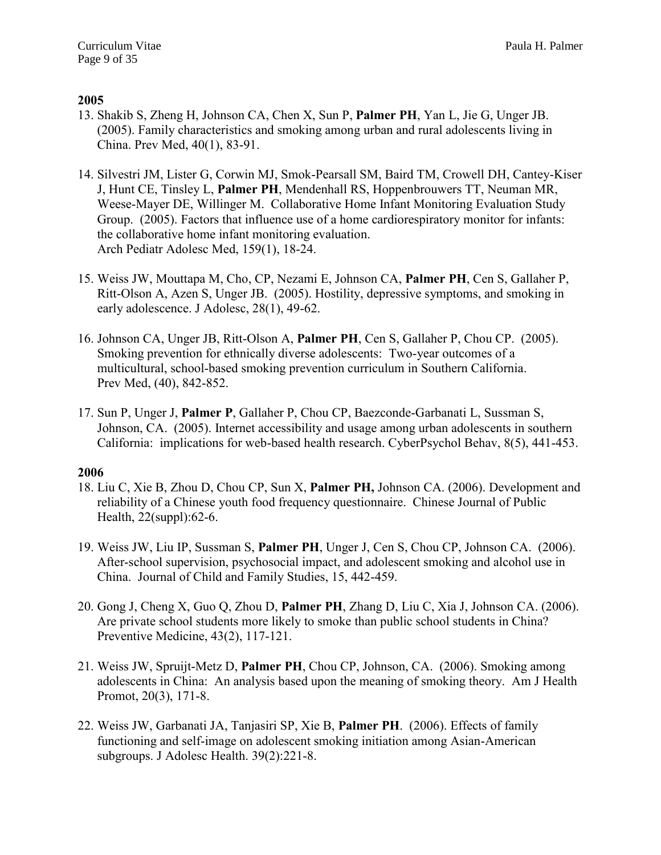- 13. Shakib S, Zheng H, Johnson CA, Chen X, Sun P, **Palmer PH**, Yan L, Jie G, Unger JB. (2005). Family characteristics and smoking among urban and rural adolescents living in China. Prev Med, 40(1), 83-91.
- 14. Silvestri JM, Lister G, Corwin MJ, Smok-Pearsall SM, Baird TM, Crowell DH, Cantey-Kiser J, Hunt CE, Tinsley L, **Palmer PH**, Mendenhall RS, Hoppenbrouwers TT, Neuman MR, Weese-Mayer DE, Willinger M. Collaborative Home Infant Monitoring Evaluation Study Group. (2005). Factors that influence use of a home cardiorespiratory monitor for infants: the collaborative home infant monitoring evaluation. Arch Pediatr Adolesc Med, 159(1), 18-24.
- 15. Weiss JW, Mouttapa M, Cho, CP, Nezami E, Johnson CA, **Palmer PH**, Cen S, Gallaher P, Ritt-Olson A, Azen S, Unger JB. (2005). Hostility, depressive symptoms, and smoking in early adolescence. J Adolesc, 28(1), 49-62.
- 16. Johnson CA, Unger JB, Ritt-Olson A, **Palmer PH**, Cen S, Gallaher P, Chou CP. (2005). Smoking prevention for ethnically diverse adolescents: Two-year outcomes of a multicultural, school-based smoking prevention curriculum in Southern California. Prev Med, (40), 842-852.
- 17. Sun P, Unger J, **Palmer P**, Gallaher P, Chou CP, Baezconde-Garbanati L, Sussman S, Johnson, CA. (2005). Internet accessibility and usage among urban adolescents in southern California: implications for web-based health research. CyberPsychol Behav, 8(5), 441-453.

- 18. Liu C, Xie B, Zhou D, Chou CP, Sun X, **Palmer PH,** Johnson CA. (2006). Development and reliability of a Chinese youth food frequency questionnaire. Chinese Journal of Public Health, 22(suppl):62-6.
- 19. Weiss JW, Liu IP, Sussman S, **Palmer PH**, Unger J, Cen S, Chou CP, Johnson CA. (2006). After-school supervision, psychosocial impact, and adolescent smoking and alcohol use in China. Journal of Child and Family Studies, 15, 442-459.
- 20. Gong J, Cheng X, Guo Q, Zhou D, **Palmer PH**, Zhang D, Liu C, Xia J, Johnson CA. (2006). Are private school students more likely to smoke than public school students in China? Preventive Medicine, 43(2), 117-121.
- 21. Weiss JW, Spruijt-Metz D, **Palmer PH**, Chou CP, Johnson, CA. (2006). Smoking among adolescents in China: An analysis based upon the meaning of smoking theory. Am J Health Promot, 20(3), 171-8.
- 22. Weiss JW, Garbanati JA, Tanjasiri SP, Xie B, **Palmer PH**. (2006). Effects of family functioning and self-image on adolescent smoking initiation among Asian-American subgroups. J Adolesc Health. 39(2):221-8.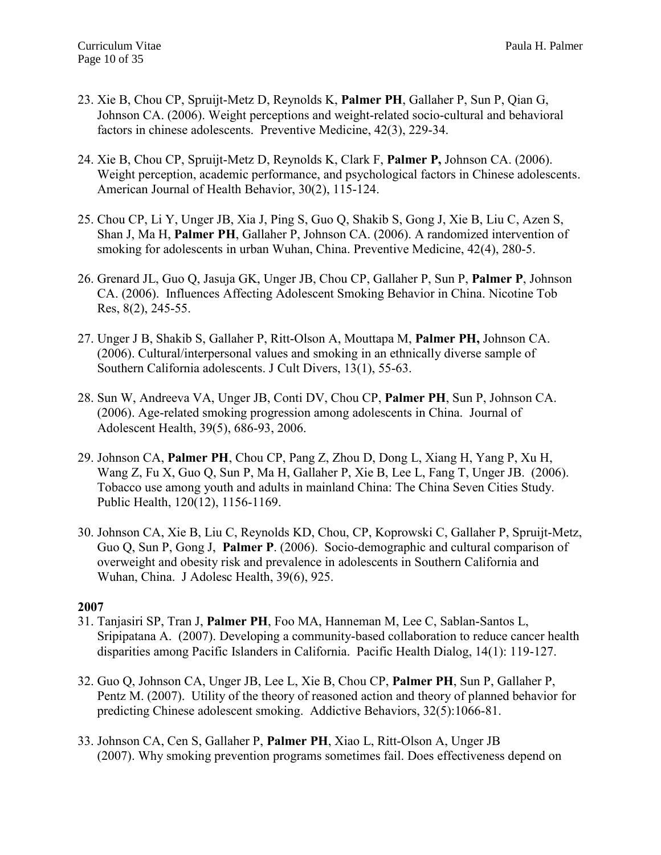- 23. Xie B, Chou CP, Spruijt-Metz D, Reynolds K, **Palmer PH**, Gallaher P, Sun P, Qian G, Johnson CA. (2006). Weight perceptions and weight-related socio-cultural and behavioral factors in chinese adolescents. Preventive Medicine, 42(3), 229-34.
- 24. Xie B, Chou CP, Spruijt-Metz D, Reynolds K, Clark F, **Palmer P,** Johnson CA. (2006). Weight perception, academic performance, and psychological factors in Chinese adolescents. American Journal of Health Behavior, 30(2), 115-124.
- 25. Chou CP, Li Y, Unger JB, Xia J, Ping S, Guo Q, Shakib S, Gong J, Xie B, Liu C, Azen S, Shan J, Ma H, **Palmer PH**, Gallaher P, Johnson CA. (2006). A randomized intervention of smoking for adolescents in urban Wuhan, China. Preventive Medicine, 42(4), 280-5.
- 26. Grenard JL, Guo Q, Jasuja GK, Unger JB, Chou CP, Gallaher P, Sun P, **Palmer P**, Johnson CA. (2006). Influences Affecting Adolescent Smoking Behavior in China. Nicotine Tob Res, 8(2), 245-55.
- 27. Unger J B, Shakib S, Gallaher P, Ritt-Olson A, Mouttapa M, **Palmer PH,** Johnson CA. (2006). Cultural/interpersonal values and smoking in an ethnically diverse sample of Southern California adolescents. J Cult Divers, 13(1), 55-63.
- 28. Sun W, Andreeva VA, Unger JB, Conti DV, Chou CP, **Palmer PH**, Sun P, Johnson CA. (2006). Age-related smoking progression among adolescents in China. Journal of Adolescent Health, 39(5), 686-93, 2006.
- 29. Johnson CA, **Palmer PH**, Chou CP, Pang Z, Zhou D, Dong L, Xiang H, Yang P, Xu H, Wang Z, Fu X, Guo Q, Sun P, Ma H, Gallaher P, Xie B, Lee L, Fang T, Unger JB. (2006). Tobacco use among youth and adults in mainland China: The China Seven Cities Study. Public Health, 120(12), 1156-1169.
- 30. Johnson CA, Xie B, Liu C, Reynolds KD, Chou, CP, Koprowski C, Gallaher P, Spruijt-Metz, Guo Q, Sun P, Gong J, **Palmer P**. (2006). Socio-demographic and cultural comparison of overweight and obesity risk and prevalence in adolescents in Southern California and Wuhan, China. J Adolesc Health, 39(6), 925.

- 31. Tanjasiri SP, Tran J, **Palmer PH**, Foo MA, Hanneman M, Lee C, Sablan-Santos L, Sripipatana A. (2007). Developing a community-based collaboration to reduce cancer health disparities among Pacific Islanders in California. Pacific Health Dialog, 14(1): 119-127.
- 32. Guo Q, Johnson CA, Unger JB, Lee L, Xie B, Chou CP, **Palmer PH**, Sun P, Gallaher P, Pentz M. (2007). Utility of the theory of reasoned action and theory of planned behavior for predicting Chinese adolescent smoking. Addictive Behaviors, 32(5):1066-81.
- 33. Johnson CA, Cen S, Gallaher P, **Palmer PH**, Xiao L, Ritt-Olson A, Unger JB (2007). Why smoking prevention programs sometimes fail. Does effectiveness depend on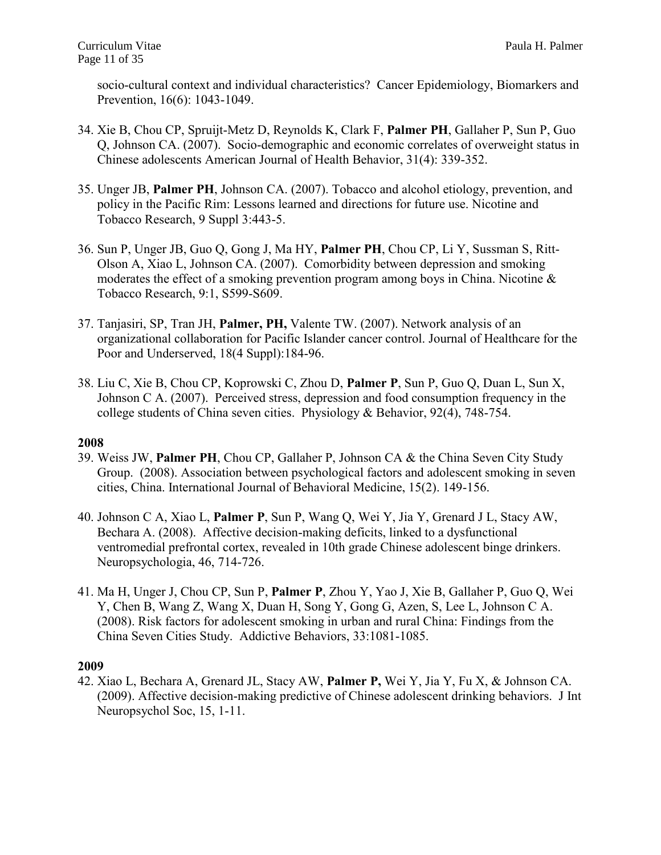socio-cultural context and individual characteristics? Cancer Epidemiology, Biomarkers and Prevention, 16(6): 1043-1049.

- 34. Xie B, Chou CP, Spruijt-Metz D, Reynolds K, Clark F, **Palmer PH**, Gallaher P, Sun P, Guo Q, Johnson CA. (2007). Socio-demographic and economic correlates of overweight status in Chinese adolescents American Journal of Health Behavior, 31(4): 339-352.
- 35. Unger JB, **Palmer PH**, Johnson CA. (2007). Tobacco and alcohol etiology, prevention, and policy in the Pacific Rim: Lessons learned and directions for future use. Nicotine and Tobacco Research, 9 Suppl 3:443-5.
- 36. Sun P, Unger JB, Guo Q, Gong J, Ma HY, **Palmer PH**, Chou CP, Li Y, Sussman S, Ritt-Olson A, Xiao L, Johnson CA. (2007). Comorbidity between depression and smoking moderates the effect of a smoking prevention program among boys in China. Nicotine & Tobacco Research, 9:1, S599-S609.
- 37. Tanjasiri, SP, Tran JH, **Palmer, PH,** Valente TW. (2007). Network analysis of an organizational collaboration for Pacific Islander cancer control. Journal of Healthcare for the Poor and Underserved, 18(4 Suppl):184-96.
- 38. Liu C, Xie B, Chou CP, Koprowski C, Zhou D, **Palmer P**, Sun P, Guo Q, Duan L, Sun X, Johnson C A. (2007). Perceived stress, depression and food consumption frequency in the college students of China seven cities. Physiology & Behavior, 92(4), 748-754.

#### **2008**

- 39. Weiss JW, **Palmer PH**, Chou CP, Gallaher P, Johnson CA & the China Seven City Study Group. (2008). Association between psychological factors and adolescent smoking in seven cities, China. International Journal of Behavioral Medicine, 15(2). 149-156.
- 40. Johnson C A, Xiao L, **Palmer P**, Sun P, Wang Q, Wei Y, Jia Y, Grenard J L, Stacy AW, Bechara A. (2008). Affective decision-making deficits, linked to a dysfunctional ventromedial prefrontal cortex, revealed in 10th grade Chinese adolescent binge drinkers. Neuropsychologia, 46, 714-726.
- 41. Ma H, Unger J, Chou CP, Sun P, **Palmer P**, Zhou Y, Yao J, Xie B, Gallaher P, Guo Q, Wei Y, Chen B, Wang Z, Wang X, Duan H, Song Y, Gong G, Azen, S, Lee L, Johnson C A. (2008). Risk factors for adolescent smoking in urban and rural China: Findings from the China Seven Cities Study. Addictive Behaviors, 33:1081-1085.

#### **2009**

42. Xiao L, Bechara A, Grenard JL, Stacy AW, **Palmer P,** Wei Y, Jia Y, Fu X, & Johnson CA. (2009). Affective decision-making predictive of Chinese adolescent drinking behaviors. J Int Neuropsychol Soc, 15, 1-11.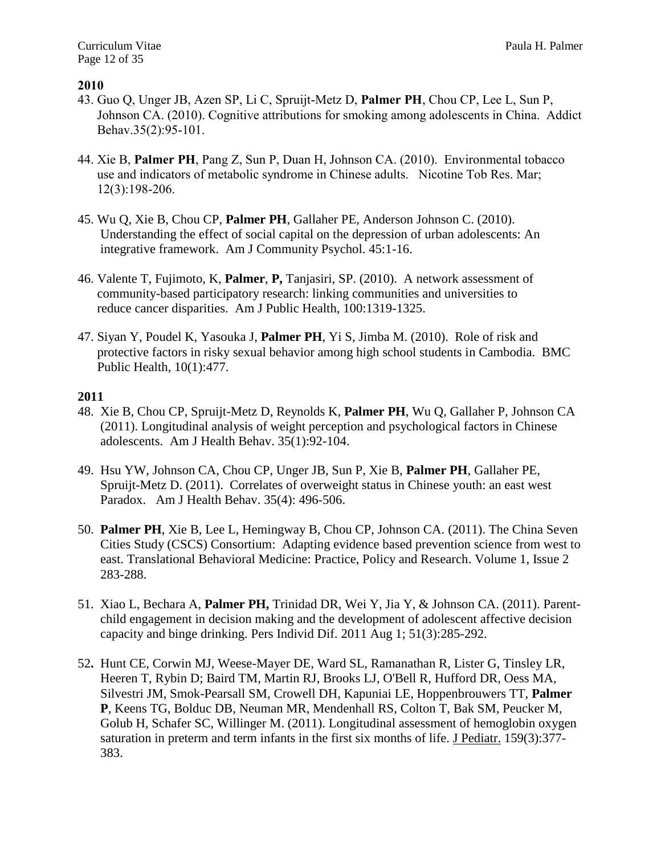- 43. Guo Q, Unger JB, Azen SP, Li C, Spruijt-Metz D, **Palmer PH**, Chou CP, Lee L, Sun P, Johnson CA. (2010). Cognitive attributions for smoking among adolescents in China. Addict Behav.35(2):95-101.
- 44. Xie B, **Palmer PH**, Pang Z, Sun P, Duan H, Johnson CA. (2010). Environmental tobacco use and indicators of metabolic syndrome in Chinese adults. Nicotine Tob Res. Mar; 12(3):198-206.
- 45. Wu Q, Xie B, Chou CP, **Palmer PH**, Gallaher PE, Anderson Johnson C. (2010). Understanding the effect of social capital on the depression of urban adolescents: An integrative framework. Am J Community Psychol. 45:1-16.
- 46. Valente T, Fujimoto, K, **Palmer**, **P,** Tanjasiri, SP. (2010). A network assessment of community-based participatory research: linking communities and universities to reduce cancer disparities. Am J Public Health, 100:1319-1325.
- 47. Siyan Y, Poudel K, Yasouka J, **Palmer PH**, Yi S, Jimba M. (2010). Role of risk and protective factors in risky sexual behavior among high school students in Cambodia. BMC Public Health, 10(1):477.

- 48. Xie B, Chou CP, Spruijt-Metz D, Reynolds K, **Palmer PH**, Wu Q, Gallaher P, Johnson CA (2011). Longitudinal analysis of weight perception and psychological factors in Chinese adolescents. Am J Health Behav. 35(1):92-104.
- 49. Hsu YW, Johnson CA, Chou CP, Unger JB, Sun P, Xie B, **Palmer PH**, Gallaher PE, Spruijt-Metz D. (2011). Correlates of overweight status in Chinese youth: an east west Paradox. Am J Health Behav. 35(4): 496-506.
- 50. **Palmer PH**, Xie B, Lee L, Hemingway B, Chou CP, Johnson CA. (2011). The China Seven Cities Study (CSCS) Consortium: Adapting evidence based prevention science from west to east. Translational Behavioral Medicine: Practice, Policy and Research. Volume 1, Issue 2 283-288.
- 51. Xiao L, Bechara A, **Palmer PH,** Trinidad DR, Wei Y, Jia Y, & Johnson CA. (2011). Parent child engagement in decision making and the development of adolescent affective decision capacity and binge drinking. [Pers Individ Dif.](http://www.ncbi.nlm.nih.gov/pubmed/21804682) 2011 Aug 1; 51(3):285-292.
- 52**.** Hunt CE, [Corwin MJ,](http://www.ncbi.nlm.nih.gov/pubmed?term=%22Corwin%20MJ%22%5BAuthor%5D) Weese-Mayer DE, [Ward SL,](http://www.ncbi.nlm.nih.gov/pubmed?term=%22Ward%20SL%22%5BAuthor%5D) [Ramanathan R,](http://www.ncbi.nlm.nih.gov/pubmed?term=%22Ramanathan%20R%22%5BAuthor%5D) [Lister G,](http://www.ncbi.nlm.nih.gov/pubmed?term=%22Lister%20G%22%5BAuthor%5D) [Tinsley LR,](http://www.ncbi.nlm.nih.gov/pubmed?term=%22Tinsley%20LR%22%5BAuthor%5D) [Heeren T,](http://www.ncbi.nlm.nih.gov/pubmed?term=%22Heeren%20T%22%5BAuthor%5D) [Rybin D;](http://www.ncbi.nlm.nih.gov/pubmed?term=%22Rybin%20D%22%5BAuthor%5D) [Baird TM,](http://www.ncbi.nlm.nih.gov/pubmed?term=%22Baird%20TM%22) [Martin RJ,](http://www.ncbi.nlm.nih.gov/pubmed?term=%22Martin%20RJ%22) [Brooks LJ,](http://www.ncbi.nlm.nih.gov/pubmed?term=%22Brooks%20LJ%22) [O'Bell R,](http://www.ncbi.nlm.nih.gov/pubmed?term=%22O%27Bell%20R%22) [Hufford DR,](http://www.ncbi.nlm.nih.gov/pubmed?term=%22Hufford%20DR%22) [Oess MA,](http://www.ncbi.nlm.nih.gov/pubmed?term=%22Oess%20MA%22) [Silvestri JM,](http://www.ncbi.nlm.nih.gov/pubmed?term=%22Silvestri%20JM%22) [Smok-Pearsall SM,](http://www.ncbi.nlm.nih.gov/pubmed?term=%22Smok-Pearsall%20SM%22) [Crowell DH,](http://www.ncbi.nlm.nih.gov/pubmed?term=%22Crowell%20DH%22) [Kapuniai LE,](http://www.ncbi.nlm.nih.gov/pubmed?term=%22Kapuniai%20LE%22) Hoppenbrouwers TT, **Palmer P**, [Keens TG,](http://www.ncbi.nlm.nih.gov/pubmed?term=%22Keens%20TG%22) [Bolduc DB,](http://www.ncbi.nlm.nih.gov/pubmed?term=%22Bolduc%20DB%22) [Neuman MR,](http://www.ncbi.nlm.nih.gov/pubmed?term=%22Neuman%20MR%22) [Mendenhall RS,](http://www.ncbi.nlm.nih.gov/pubmed?term=%22Mendenhall%20RS%22) [Colton T,](http://www.ncbi.nlm.nih.gov/pubmed?term=%22Colton%20T%22) [Bak SM,](http://www.ncbi.nlm.nih.gov/pubmed?term=%22Bak%20SM%22) [Peucker M,](http://www.ncbi.nlm.nih.gov/pubmed?term=%22Peucker%20M%22) [Golub H,](http://www.ncbi.nlm.nih.gov/pubmed?term=%22Golub%20H%22) [Schafer SC,](http://www.ncbi.nlm.nih.gov/pubmed?term=%22Schafer%20SC%22) [Willinger M.](http://www.ncbi.nlm.nih.gov/pubmed?term=%22Willinger%20M%22) (2011). Longitudinal assessment of hemoglobin oxygen saturation in preterm and term infants in the first six months of life. [J Pediatr.](http://www.ncbi.nlm.nih.gov/pubmed/21481418) 159(3):377- 383.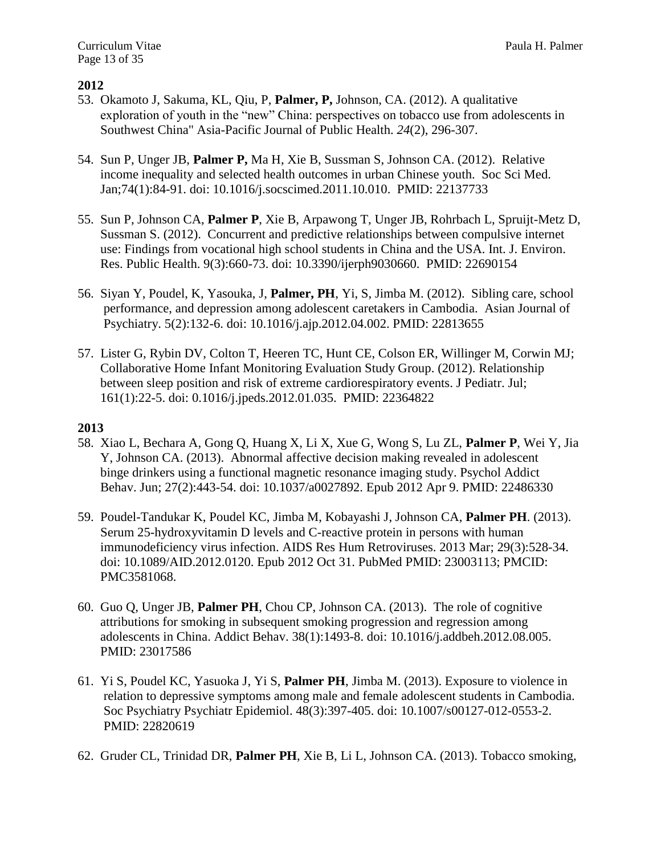- 53. Okamoto J, Sakuma, KL, Qiu, P, **Palmer, P,** Johnson, CA. (2012). A qualitative exploration of youth in the "new" China: perspectives on tobacco use from adolescents in Southwest China" Asia-Pacific Journal of Public Health. *24*(2), 296-307.
- 54. Sun P, Unger JB, **Palmer P,** Ma H, Xie B, Sussman S, Johnson CA. (2012). Relative income inequality and selected health outcomes in urban Chinese youth. Soc Sci Med. Jan;74(1):84-91. doi: 10.1016/j.socscimed.2011.10.010. PMID: 22137733
- 55. Sun P, Johnson CA, **Palmer P**, Xie B, Arpawong T, Unger JB, Rohrbach L, Spruijt-Metz D, Sussman S. (2012). Concurrent and predictive relationships between compulsive internet use: Findings from vocational high school students in China and the USA. Int. J. Environ. Res. Public Health. 9(3):660-73. doi: 10.3390/ijerph9030660. PMID: 22690154
- 56. Siyan Y, Poudel, K, Yasouka, J, **Palmer, PH**, Yi, S, Jimba M. (2012). Sibling care, school performance, and depression among adolescent caretakers in Cambodia. Asian Journal of Psychiatry. 5(2):132-6. doi: 10.1016/j.ajp.2012.04.002. PMID: 22813655
- 57. Lister G, Rybin DV, Colton T, Heeren TC, Hunt CE, Colson ER, Willinger M, Corwin MJ; Collaborative Home Infant Monitoring Evaluation Study Group. (2012). Relationship between sleep position and risk of extreme cardiorespiratory events. J Pediatr. Jul; 161(1):22-5. doi: 0.1016/j.jpeds.2012.01.035. PMID: 22364822

- 58. Xiao L, Bechara A, Gong Q, Huang X, Li X, Xue G, Wong S, Lu ZL, **Palmer P**, Wei Y, Jia Y, Johnson CA. (2013). Abnormal affective decision making revealed in adolescent binge drinkers using a functional magnetic resonance imaging study. Psychol Addict Behav. Jun; 27(2):443-54. doi: 10.1037/a0027892. Epub 2012 Apr 9. PMID: 22486330
- 59. Poudel-Tandukar K, Poudel KC, Jimba M, Kobayashi J, Johnson CA, **Palmer PH**. (2013). Serum 25-hydroxyvitamin D levels and C-reactive protein in persons with human immunodeficiency virus infection. AIDS Res Hum Retroviruses. 2013 Mar; 29(3):528-34. doi: 10.1089/AID.2012.0120. Epub 2012 Oct 31. PubMed PMID: 23003113; PMCID: PMC3581068.
- 60. Guo Q, Unger JB, **Palmer PH**, Chou CP, Johnson CA. (2013). The role of cognitive attributions for smoking in subsequent smoking progression and regression among adolescents in China. Addict Behav. 38(1):1493-8. doi: 10.1016/j.addbeh.2012.08.005. PMID: 23017586
- 61. Yi S, Poudel KC, Yasuoka J, Yi S, **Palmer PH**, Jimba M. (2013). Exposure to violence in relation to depressive symptoms among male and female adolescent students in Cambodia. Soc Psychiatry Psychiatr Epidemiol. 48(3):397-405. doi: 10.1007/s00127-012-0553-2. PMID: 22820619
- 62. Gruder CL, Trinidad DR, **Palmer PH**, Xie B, Li L, Johnson CA. (2013). Tobacco smoking,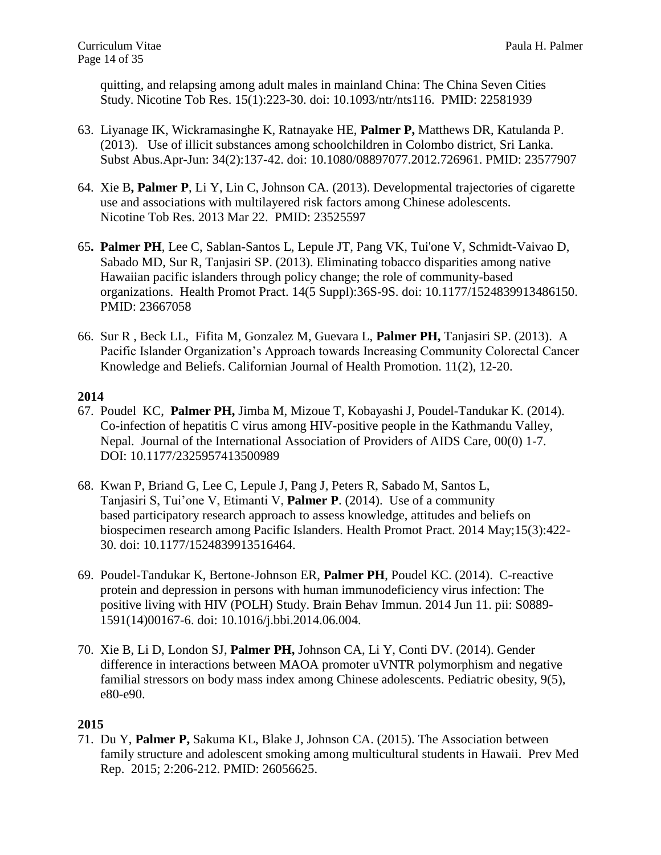quitting, and relapsing among adult males in mainland China: The China Seven Cities Study. Nicotine Tob Res. 15(1):223-30. doi: 10.1093/ntr/nts116. PMID: 22581939

- 63. Liyanage IK, Wickramasinghe K, Ratnayake HE, **Palmer P,** Matthews DR, Katulanda P. (2013). Use of illicit substances among schoolchildren in Colombo district, Sri Lanka. Subst Abus.Apr-Jun: 34(2):137-42. doi: 10.1080/08897077.2012.726961. PMID: 23577907
- 64. Xie B**, Palmer P**, Li Y, Lin C, Johnson CA. (2013). Developmental trajectories of cigarette use and associations with multilayered risk factors among Chinese adolescents. Nicotine Tob Res. 2013 Mar 22. PMID: 23525597
- 65**. Palmer PH**, Lee C, Sablan-Santos L, Lepule JT, Pang VK, Tui'one V, Schmidt-Vaivao D, Sabado MD, Sur R, Tanjasiri SP. (2013). Eliminating tobacco disparities among native Hawaiian pacific islanders through policy change; the role of community-based organizations. Health Promot Pract. 14(5 Suppl):36S-9S. doi: 10.1177/1524839913486150. PMID: 23667058
- 66. Sur R , Beck LL, Fifita M, Gonzalez M, Guevara L, **Palmer PH,** Tanjasiri SP. (2013). A Pacific Islander Organization's Approach towards Increasing Community Colorectal Cancer Knowledge and Beliefs. Californian Journal of Health Promotion. 11(2), 12-20.

## **2014**

- 67. Poudel KC, **Palmer PH,** Jimba M, Mizoue T, Kobayashi J, Poudel-Tandukar K. (2014). Co-infection of hepatitis C virus among HIV-positive people in the Kathmandu Valley, Nepal. Journal of the International Association of Providers of AIDS Care, 00(0) 1-7. DOI: 10.1177/2325957413500989
- 68. Kwan P, Briand G, Lee C, Lepule J, Pang J, Peters R, Sabado M, Santos L, Tanjasiri S, Tui'one V, Etimanti V, **Palmer P**. (2014). Use of a community based participatory research approach to assess knowledge, attitudes and beliefs on biospecimen research among Pacific Islanders. Health Promot Pract. 2014 May;15(3):422- 30. doi: 10.1177/1524839913516464.
- 69. Poudel-Tandukar K, Bertone-Johnson ER, **Palmer PH**, Poudel KC. (2014). C-reactive protein and depression in persons with human immunodeficiency virus infection: The positive living with HIV (POLH) Study. Brain Behav Immun. 2014 Jun 11. pii: S0889- 1591(14)00167-6. doi: 10.1016/j.bbi.2014.06.004.
- 70. Xie B, Li D, London SJ, **Palmer PH,** Johnson CA, Li Y, Conti DV. (2014). Gender difference in interactions between MAOA promoter uVNTR polymorphism and negative familial stressors on body mass index among Chinese adolescents. Pediatric obesity, 9(5), e80-e90.

# **2015**

71. Du Y, **Palmer P,** Sakuma KL, Blake J, Johnson CA. (2015). The Association between family structure and adolescent smoking among multicultural students in Hawaii. Prev Med Rep. 2015; 2:206-212. PMID: 26056625.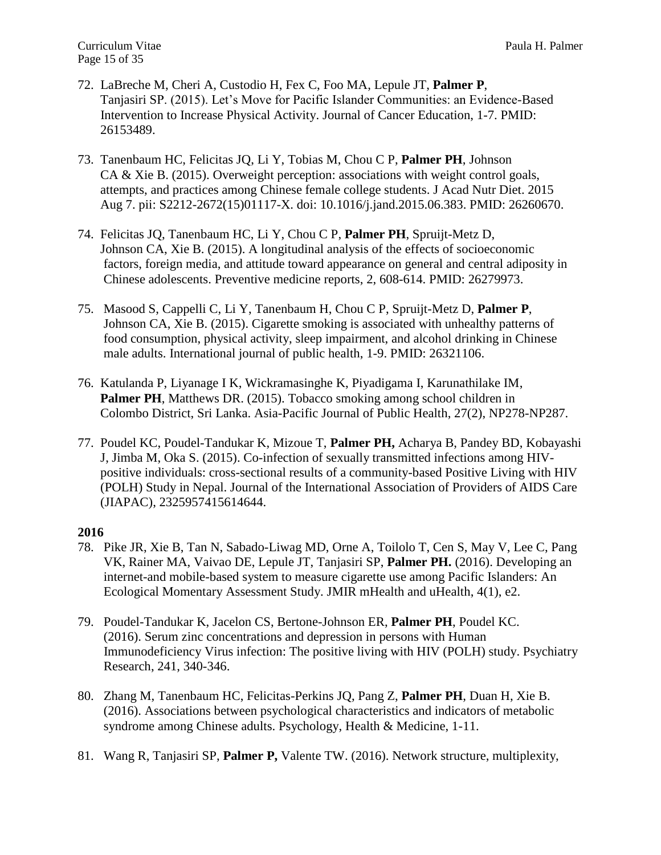- 72. LaBreche M, Cheri A, Custodio H, Fex C, Foo MA, Lepule JT, **Palmer P**, Tanjasiri SP. (2015). Let's Move for Pacific Islander Communities: an Evidence-Based Intervention to Increase Physical Activity. Journal of Cancer Education, 1-7. PMID: 26153489.
- 73. Tanenbaum HC, Felicitas JQ, Li Y, Tobias M, Chou C P, **Palmer PH**, Johnson CA & Xie B. (2015). Overweight perception: associations with weight control goals, attempts, and practices among Chinese female college students. J Acad Nutr Diet. 2015 Aug 7. pii: S2212-2672(15)01117-X. doi: 10.1016/j.jand.2015.06.383. PMID: 26260670.
- 74. Felicitas JQ, Tanenbaum HC, Li Y, Chou C P, **Palmer PH**, Spruijt-Metz D, Johnson CA, Xie B. (2015). A longitudinal analysis of the effects of socioeconomic factors, foreign media, and attitude toward appearance on general and central adiposity in Chinese adolescents. Preventive medicine reports, 2, 608-614. PMID: 26279973.
- 75. Masood S, Cappelli C, Li Y, Tanenbaum H, Chou C P, Spruijt-Metz D, **Palmer P**, Johnson CA, Xie B. (2015). Cigarette smoking is associated with unhealthy patterns of food consumption, physical activity, sleep impairment, and alcohol drinking in Chinese male adults. International journal of public health, 1-9. PMID: 26321106.
- 76. Katulanda P, Liyanage I K, Wickramasinghe K, Piyadigama I, Karunathilake IM, **Palmer PH**, Matthews DR. (2015). Tobacco smoking among school children in Colombo District, Sri Lanka. Asia-Pacific Journal of Public Health, 27(2), NP278-NP287.
- 77. Poudel KC, Poudel-Tandukar K, Mizoue T, **Palmer PH,** Acharya B, Pandey BD, Kobayashi J, Jimba M, Oka S. (2015). Co-infection of sexually transmitted infections among HIV positive individuals: cross-sectional results of a community-based Positive Living with HIV (POLH) Study in Nepal. Journal of the International Association of Providers of AIDS Care (JIAPAC), 2325957415614644.

- 78. Pike JR, Xie B, Tan N, Sabado-Liwag MD, Orne A, Toilolo T, Cen S, May V, Lee C, Pang VK, Rainer MA, Vaivao DE, Lepule JT, Tanjasiri SP, **Palmer PH.** (2016). Developing an internet-and mobile-based system to measure cigarette use among Pacific Islanders: An Ecological Momentary Assessment Study. JMIR mHealth and uHealth, 4(1), e2.
- 79. Poudel-Tandukar K, Jacelon CS, Bertone-Johnson ER, **Palmer PH**, Poudel KC. (2016). Serum zinc concentrations and depression in persons with Human Immunodeficiency Virus infection: The positive living with HIV (POLH) study. Psychiatry Research, 241, 340-346.
- 80. Zhang M, Tanenbaum HC, Felicitas-Perkins JQ, Pang Z, **Palmer PH**, Duan H, Xie B. (2016). Associations between psychological characteristics and indicators of metabolic syndrome among Chinese adults. Psychology, Health & Medicine, 1-11.
- 81. Wang R, Tanjasiri SP, **Palmer P,** Valente TW. (2016). Network structure, multiplexity,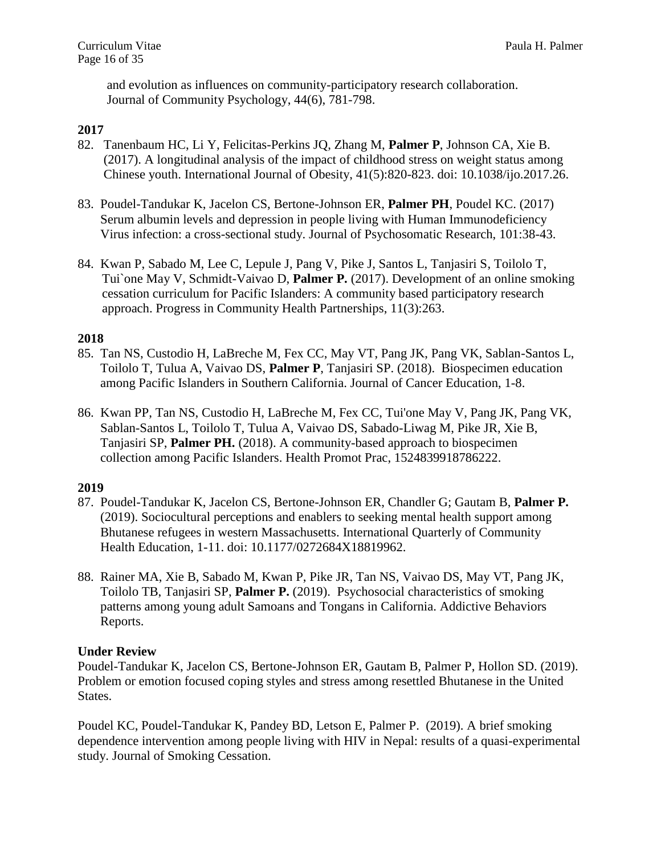and evolution as influences on community-participatory research collaboration. Journal of Community Psychology, 44(6), 781-798.

# **2017**

- 82.Tanenbaum HC, Li Y, Felicitas-Perkins JQ, Zhang M, **Palmer P**, Johnson CA, Xie B. (2017). A longitudinal analysis of the impact of childhood stress on weight status among Chinese youth. International Journal of Obesity, 41(5):820-823. doi: 10.1038/ijo.2017.26.
- 83. Poudel-Tandukar K, Jacelon CS, Bertone-Johnson ER, **Palmer PH**, Poudel KC. (2017) Serum albumin levels and depression in people living with Human Immunodeficiency Virus infection: a cross-sectional study. Journal of Psychosomatic Research, 101:38-43.
- 84. Kwan P, Sabado M, Lee C, Lepule J, Pang V, Pike J, Santos L, Tanjasiri S, Toilolo T, Tui`one May V, Schmidt-Vaivao D, **Palmer P.** (2017). Development of an online smoking cessation curriculum for Pacific Islanders: A community based participatory research approach. Progress in Community Health Partnerships, 11(3):263.

## **2018**

- 85. Tan NS, Custodio H, LaBreche M, Fex CC, May VT, Pang JK, Pang VK, Sablan-Santos L, Toilolo T, Tulua A, Vaivao DS, **Palmer P**, Tanjasiri SP. (2018). Biospecimen education among Pacific Islanders in Southern California. Journal of Cancer Education, 1-8.
- 86. Kwan PP, Tan NS, Custodio H, LaBreche M, Fex CC, Tui'one May V, Pang JK, Pang VK, Sablan-Santos L, Toilolo T, Tulua A, Vaivao DS, Sabado-Liwag M, Pike JR, Xie B, Tanjasiri SP, **Palmer PH.** (2018). A community-based approach to biospecimen collection among Pacific Islanders. Health Promot Prac, 1524839918786222.

# **2019**

- 87. Poudel-Tandukar K, Jacelon CS, Bertone-Johnson ER, Chandler G; Gautam B, **Palmer P.** (2019). Sociocultural perceptions and enablers to seeking mental health support among Bhutanese refugees in western Massachusetts. International Quarterly of Community Health Education, 1-11. doi: 10.1177/0272684X18819962.
- 88. Rainer MA, Xie B, Sabado M, Kwan P, Pike JR, Tan NS, Vaivao DS, May VT, Pang JK, Toilolo TB, Tanjasiri SP, **Palmer P.** (2019). Psychosocial characteristics of smoking patterns among young adult Samoans and Tongans in California. Addictive Behaviors Reports.

#### **Under Review**

Poudel-Tandukar K, Jacelon CS, Bertone-Johnson ER, Gautam B, Palmer P, Hollon SD. (2019). Problem or emotion focused coping styles and stress among resettled Bhutanese in the United States.

Poudel KC, Poudel-Tandukar K, Pandey BD, Letson E, Palmer P. (2019). A brief smoking dependence intervention among people living with HIV in Nepal: results of a quasi-experimental study. Journal of Smoking Cessation.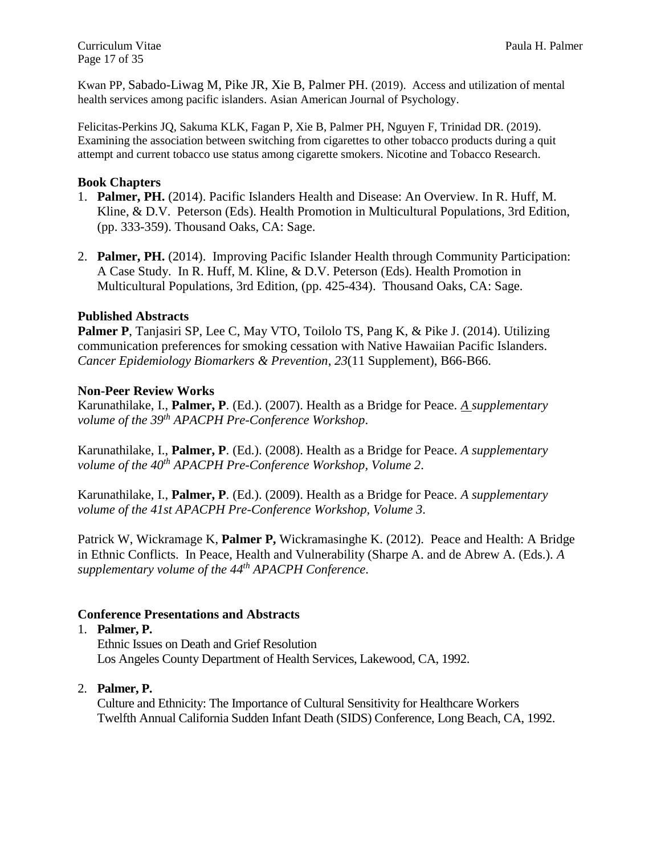Curriculum Vitae Paula H. Palmer Page 17 of 35

Kwan PP, Sabado-Liwag M, Pike JR, Xie B, Palmer PH. (2019). Access and utilization of mental health services among pacific islanders. Asian American Journal of Psychology.

Felicitas-Perkins JQ, Sakuma KLK, Fagan P, Xie B, Palmer PH, Nguyen F, Trinidad DR. (2019). Examining the association between switching from cigarettes to other tobacco products during a quit attempt and current tobacco use status among cigarette smokers. Nicotine and Tobacco Research.

## **Book Chapters**

- 1. **Palmer, PH.** (2014). Pacific Islanders Health and Disease: An Overview. In R. Huff, M. Kline, & D.V. Peterson (Eds). Health Promotion in Multicultural Populations, 3rd Edition, (pp. 333-359). Thousand Oaks, CA: Sage.
- 2. **Palmer, PH.** (2014). Improving Pacific Islander Health through Community Participation: A Case Study. In R. Huff, M. Kline, & D.V. Peterson (Eds). Health Promotion in Multicultural Populations, 3rd Edition, (pp. 425-434). Thousand Oaks, CA: Sage.

# **Published Abstracts**

**Palmer P**, Tanjasiri SP, Lee C, May VTO, Toilolo TS, Pang K, & Pike J. (2014). Utilizing communication preferences for smoking cessation with Native Hawaiian Pacific Islanders. *Cancer Epidemiology Biomarkers & Prevention*, *23*(11 Supplement), B66-B66.

## **Non-Peer Review Works**

Karunathilake, I., **Palmer, P**. (Ed.). (2007). Health as a Bridge for Peace. *A supplementary volume of the 39th APACPH Pre-Conference Workshop*.

Karunathilake, I., **Palmer, P**. (Ed.). (2008). Health as a Bridge for Peace. *A supplementary volume of the 40th APACPH Pre-Conference Workshop, Volume 2*.

Karunathilake, I., **Palmer, P**. (Ed.). (2009). Health as a Bridge for Peace. *A supplementary volume of the 41st APACPH Pre-Conference Workshop, Volume 3*.

Patrick W, Wickramage K, **Palmer P,** Wickramasinghe K. (2012). Peace and Health: A Bridge in Ethnic Conflicts. In Peace, Health and Vulnerability (Sharpe A. and de Abrew A. (Eds.). *A supplementary volume of the 44th APACPH Conference*.

# **Conference Presentations and Abstracts**

#### 1. **Palmer, P.**

Ethnic Issues on Death and Grief Resolution Los Angeles County Department of Health Services, Lakewood, CA, 1992.

# 2. **Palmer, P.**

Culture and Ethnicity: The Importance of Cultural Sensitivity for Healthcare Workers Twelfth Annual California Sudden Infant Death (SIDS) Conference, Long Beach, CA, 1992.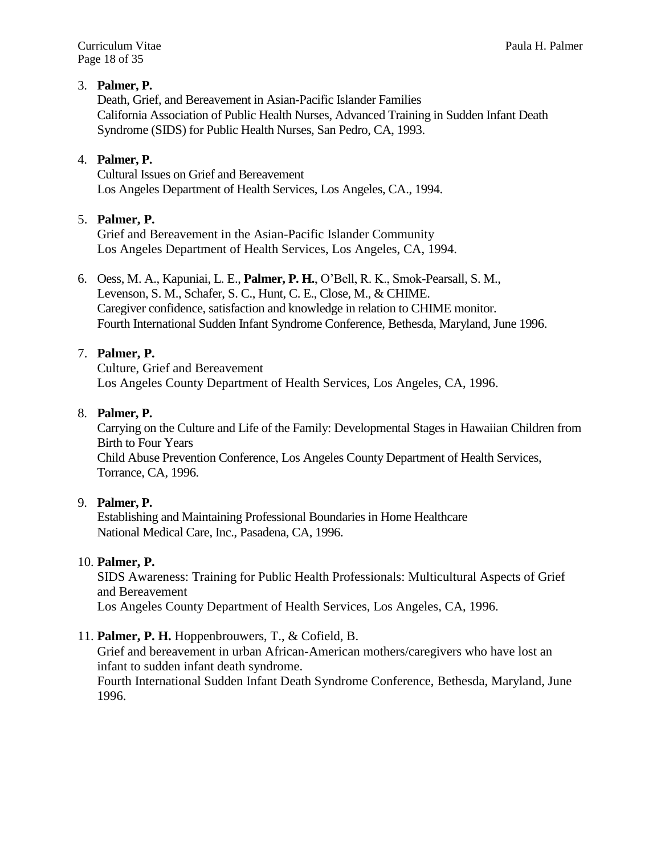# 3. **Palmer, P.**

Death, Grief, and Bereavement in Asian-Pacific Islander Families California Association of Public Health Nurses, Advanced Training in Sudden Infant Death Syndrome (SIDS) for Public Health Nurses, San Pedro, CA, 1993.

## 4. **Palmer, P.**

Cultural Issues on Grief and Bereavement Los Angeles Department of Health Services, Los Angeles, CA., 1994.

### 5. **Palmer, P.**

Grief and Bereavement in the Asian-Pacific Islander Community Los Angeles Department of Health Services, Los Angeles, CA, 1994.

6. Oess, M. A., Kapuniai, L. E., **Palmer, P. H.**, O'Bell, R. K., Smok-Pearsall, S. M., Levenson, S. M., Schafer, S. C., Hunt, C. E., Close, M., & CHIME. Caregiver confidence, satisfaction and knowledge in relation to CHIME monitor. Fourth International Sudden Infant Syndrome Conference, Bethesda, Maryland, June 1996.

## 7. **Palmer, P.**

Culture, Grief and Bereavement Los Angeles County Department of Health Services, Los Angeles, CA, 1996.

#### 8. **Palmer, P.**

Carrying on the Culture and Life of the Family: Developmental Stages in Hawaiian Children from Birth to Four Years Child Abuse Prevention Conference, Los Angeles County Department of Health Services, Torrance, CA, 1996.

#### 9. **Palmer, P.**

Establishing and Maintaining Professional Boundaries in Home Healthcare National Medical Care, Inc., Pasadena, CA, 1996.

#### 10. **Palmer, P.**

SIDS Awareness: Training for Public Health Professionals: Multicultural Aspects of Grief and Bereavement Los Angeles County Department of Health Services, Los Angeles, CA, 1996.

#### 11. **Palmer, P. H.** Hoppenbrouwers, T., & Cofield, B.

Grief and bereavement in urban African-American mothers/caregivers who have lost an infant to sudden infant death syndrome.

Fourth International Sudden Infant Death Syndrome Conference, Bethesda, Maryland, June 1996.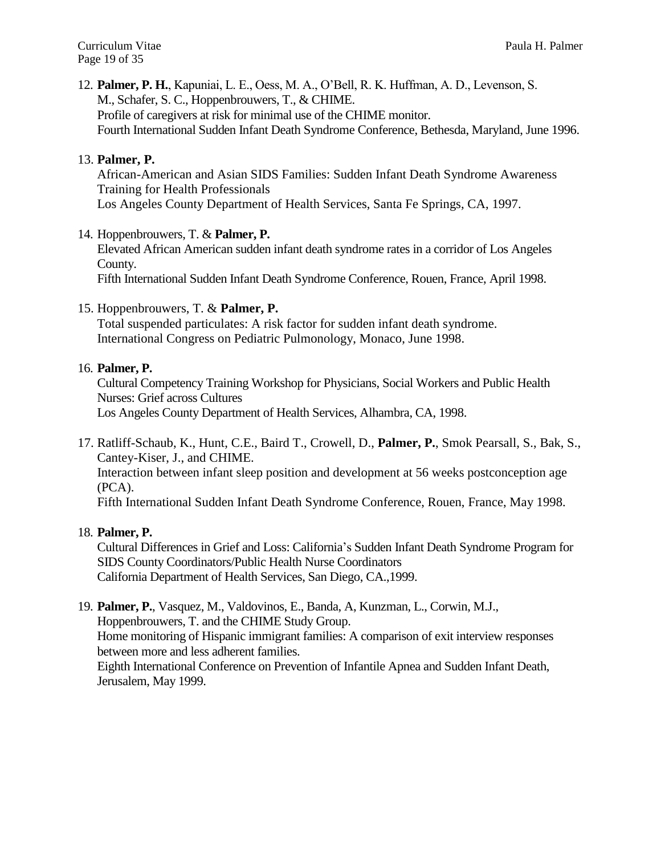Curriculum Vitae Paula H. Palmer Page 19 of 35

12. **Palmer, P. H.**, Kapuniai, L. E., Oess, M. A., O'Bell, R. K. Huffman, A. D., Levenson, S. M., Schafer, S. C., Hoppenbrouwers, T., & CHIME. Profile of caregivers at risk for minimal use of the CHIME monitor. Fourth International Sudden Infant Death Syndrome Conference, Bethesda, Maryland, June 1996.

## 13. **Palmer, P.**

African-American and Asian SIDS Families: Sudden Infant Death Syndrome Awareness Training for Health Professionals Los Angeles County Department of Health Services, Santa Fe Springs, CA, 1997.

## 14. Hoppenbrouwers, T. & **Palmer, P.**

Elevated African American sudden infant death syndrome rates in a corridor of Los Angeles County.

Fifth International Sudden Infant Death Syndrome Conference, Rouen, France, April 1998.

## 15. Hoppenbrouwers, T. & **Palmer, P.**

Total suspended particulates: A risk factor for sudden infant death syndrome. International Congress on Pediatric Pulmonology, Monaco, June 1998.

#### 16. **Palmer, P.**

Cultural Competency Training Workshop for Physicians, Social Workers and Public Health Nurses: Grief across Cultures Los Angeles County Department of Health Services, Alhambra, CA, 1998.

17. Ratliff-Schaub, K., Hunt, C.E., Baird T., Crowell, D., **Palmer, P.**, Smok Pearsall, S., Bak, S., Cantey-Kiser, J., and CHIME.

Interaction between infant sleep position and development at 56 weeks postconception age (PCA).

Fifth International Sudden Infant Death Syndrome Conference, Rouen, France, May 1998.

#### 18. **Palmer, P.**

Cultural Differences in Grief and Loss: California's Sudden Infant Death Syndrome Program for SIDS County Coordinators/Public Health Nurse Coordinators California Department of Health Services, San Diego, CA.,1999.

#### 19. **Palmer, P.**, Vasquez, M., Valdovinos, E., Banda, A, Kunzman, L., Corwin, M.J., Hoppenbrouwers, T. and the CHIME Study Group. Home monitoring of Hispanic immigrant families: A comparison of exit interview responses between more and less adherent families. Eighth International Conference on Prevention of Infantile Apnea and Sudden Infant Death,

Jerusalem, May 1999.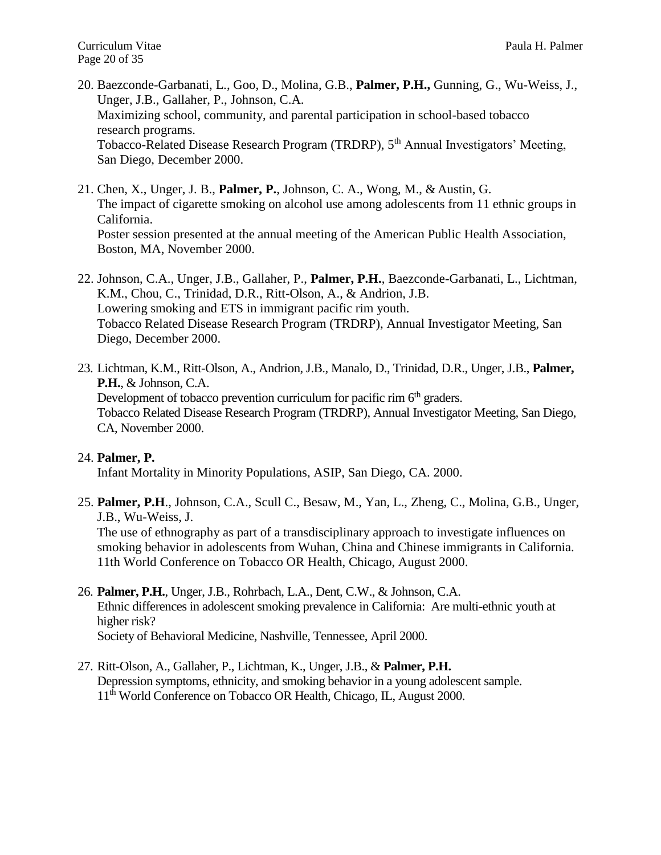- 20. Baezconde-Garbanati, L., Goo, D., Molina, G.B., **Palmer, P.H.,** Gunning, G., Wu-Weiss, J., Unger, J.B., Gallaher, P., Johnson, C.A. Maximizing school, community, and parental participation in school-based tobacco research programs. Tobacco-Related Disease Research Program (TRDRP), 5th Annual Investigators' Meeting, San Diego, December 2000.
- 21. Chen, X., Unger, J. B., **Palmer, P.**, Johnson, C. A., Wong, M., & Austin, G. The impact of cigarette smoking on alcohol use among adolescents from 11 ethnic groups in California. Poster session presented at the annual meeting of the American Public Health Association, Boston, MA, November 2000.
- 22. Johnson, C.A., Unger, J.B., Gallaher, P., **Palmer, P.H.**, Baezconde-Garbanati, L., Lichtman, K.M., Chou, C., Trinidad, D.R., Ritt-Olson, A., & Andrion, J.B. Lowering smoking and ETS in immigrant pacific rim youth. Tobacco Related Disease Research Program (TRDRP), Annual Investigator Meeting, San Diego, December 2000.
- 23. Lichtman, K.M., Ritt-Olson, A., Andrion, J.B., Manalo, D., Trinidad, D.R., Unger, J.B., **Palmer, P.H.**, & Johnson, C.A. Development of tobacco prevention curriculum for pacific rim  $6<sup>th</sup>$  graders. Tobacco Related Disease Research Program (TRDRP), Annual Investigator Meeting, San Diego, CA, November 2000.

# 24. **Palmer, P.**

Infant Mortality in Minority Populations, ASIP, San Diego, CA. 2000.

25. **Palmer, P.H**., Johnson, C.A., Scull C., Besaw, M., Yan, L., Zheng, C., Molina, G.B., Unger, J.B., Wu-Weiss, J.

The use of ethnography as part of a transdisciplinary approach to investigate influences on smoking behavior in adolescents from Wuhan, China and Chinese immigrants in California. 11th World Conference on Tobacco OR Health, Chicago, August 2000.

- 26. **Palmer, P.H.**, Unger, J.B., Rohrbach, L.A., Dent, C.W., & Johnson, C.A. Ethnic differences in adolescent smoking prevalence in California: Are multi-ethnic youth at higher risk? Society of Behavioral Medicine, Nashville, Tennessee, April 2000.
- 27. Ritt-Olson, A., Gallaher, P., Lichtman, K., Unger, J.B., & **Palmer, P.H.** Depression symptoms, ethnicity, and smoking behavior in a young adolescent sample. 11<sup>th</sup> World Conference on Tobacco OR Health, Chicago, IL, August 2000.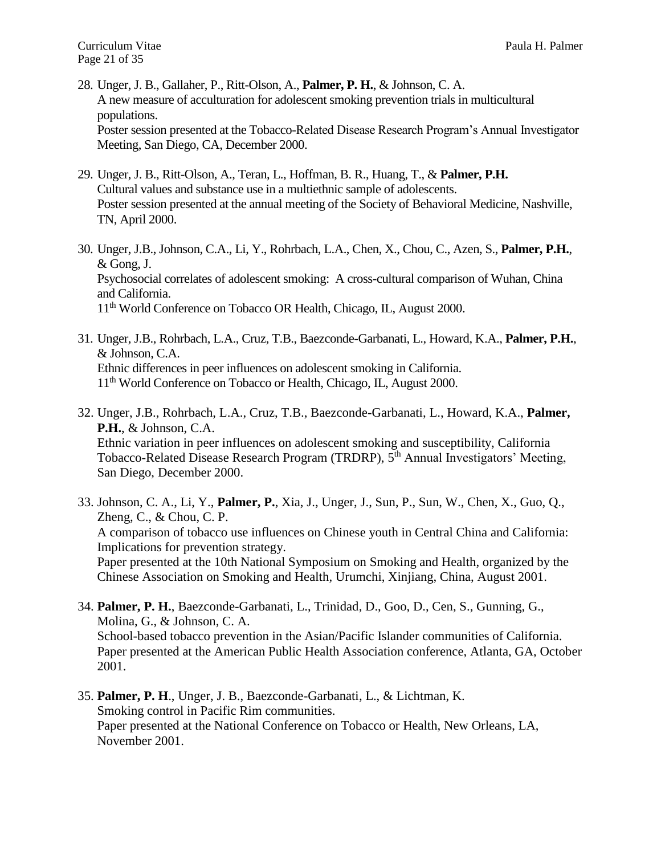- 28. Unger, J. B., Gallaher, P., Ritt-Olson, A., **Palmer, P. H.**, & Johnson, C. A. A new measure of acculturation for adolescent smoking prevention trials in multicultural populations. Poster session presented at the Tobacco-Related Disease Research Program's Annual Investigator Meeting, San Diego, CA, December 2000.
- 29. Unger, J. B., Ritt-Olson, A., Teran, L., Hoffman, B. R., Huang, T., & **Palmer, P.H.** Cultural values and substance use in a multiethnic sample of adolescents. Poster session presented at the annual meeting of the Society of Behavioral Medicine, Nashville, TN, April 2000.
- 30. Unger, J.B., Johnson, C.A., Li, Y., Rohrbach, L.A., Chen, X., Chou, C., Azen, S., **Palmer, P.H.**, & Gong, J. Psychosocial correlates of adolescent smoking: A cross-cultural comparison of Wuhan, China and California. 11<sup>th</sup> World Conference on Tobacco OR Health, Chicago, IL, August 2000.
- 31. Unger, J.B., Rohrbach, L.A., Cruz, T.B., Baezconde-Garbanati, L., Howard, K.A., **Palmer, P.H.**, & Johnson, C.A. Ethnic differences in peer influences on adolescent smoking in California. 11<sup>th</sup> World Conference on Tobacco or Health, Chicago, IL, August 2000.
- 32. Unger, J.B., Rohrbach, L.A., Cruz, T.B., Baezconde-Garbanati, L., Howard, K.A., **Palmer, P.H.**, & Johnson, C.A. Ethnic variation in peer influences on adolescent smoking and susceptibility, California Tobacco-Related Disease Research Program (TRDRP), 5<sup>th</sup> Annual Investigators' Meeting, San Diego, December 2000.
- 33. Johnson, C. A., Li, Y., **Palmer, P.**, Xia, J., Unger, J., Sun, P., Sun, W., Chen, X., Guo, Q., Zheng, C., & Chou, C. P. A comparison of tobacco use influences on Chinese youth in Central China and California: Implications for prevention strategy. Paper presented at the 10th National Symposium on Smoking and Health, organized by the Chinese Association on Smoking and Health*,* Urumchi, Xinjiang, China, August 2001.
- 34. **Palmer, P. H.**, Baezconde-Garbanati, L., Trinidad, D., Goo, D., Cen, S., Gunning, G., Molina, G., & Johnson, C. A. School-based tobacco prevention in the Asian/Pacific Islander communities of California. Paper presented at the American Public Health Association conference, Atlanta, GA, October 2001.
- 35. **Palmer, P. H**., Unger, J. B., Baezconde-Garbanati, L., & Lichtman, K. Smoking control in Pacific Rim communities. Paper presented at the National Conference on Tobacco or Health, New Orleans, LA, November 2001.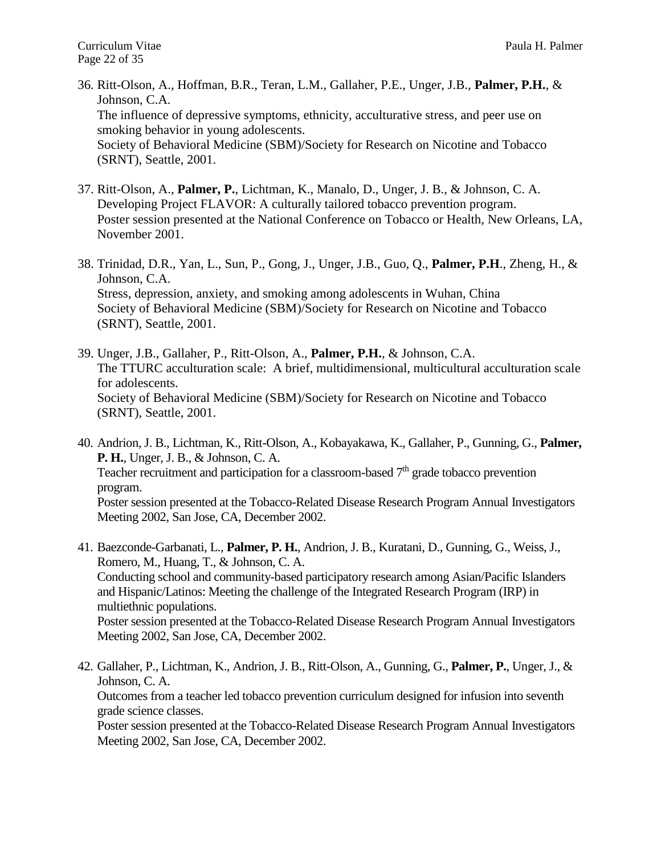- 36. Ritt-Olson, A., Hoffman, B.R., Teran, L.M., Gallaher, P.E., Unger, J.B., **Palmer, P.H.**, & Johnson, C.A. The influence of depressive symptoms, ethnicity, acculturative stress, and peer use on smoking behavior in young adolescents. Society of Behavioral Medicine (SBM)/Society for Research on Nicotine and Tobacco (SRNT), Seattle, 2001.
- 37. Ritt-Olson, A., **Palmer, P.**, Lichtman, K., Manalo, D., Unger, J. B., & Johnson, C. A. Developing Project FLAVOR: A culturally tailored tobacco prevention program. Poster session presented at the National Conference on Tobacco or Health, New Orleans, LA, November 2001.
- 38. Trinidad, D.R., Yan, L., Sun, P., Gong, J., Unger, J.B., Guo, Q., **Palmer, P.H**., Zheng, H., & Johnson, C.A. Stress, depression, anxiety, and smoking among adolescents in Wuhan, China Society of Behavioral Medicine (SBM)/Society for Research on Nicotine and Tobacco (SRNT), Seattle, 2001.
- 39. Unger, J.B., Gallaher, P., Ritt-Olson, A., **Palmer, P.H.**, & Johnson, C.A. The TTURC acculturation scale: A brief, multidimensional, multicultural acculturation scale for adolescents. Society of Behavioral Medicine (SBM)/Society for Research on Nicotine and Tobacco (SRNT), Seattle, 2001.
- 40. Andrion, J. B., Lichtman, K., Ritt-Olson, A., Kobayakawa, K., Gallaher, P., Gunning, G., **Palmer, P. H.**, Unger, J. B., & Johnson, C. A. Teacher recruitment and participation for a classroom-based  $7<sup>th</sup>$  grade tobacco prevention program. Poster session presented at the Tobacco-Related Disease Research Program Annual Investigators Meeting 2002, San Jose, CA, December 2002.
- 41. Baezconde-Garbanati, L., **Palmer, P. H.**, Andrion, J. B., Kuratani, D., Gunning, G., Weiss, J., Romero, M., Huang, T., & Johnson, C. A. Conducting school and community-based participatory research among Asian/Pacific Islanders and Hispanic/Latinos: Meeting the challenge of the Integrated Research Program (IRP) in multiethnic populations. Poster session presented at the Tobacco-Related Disease Research Program Annual Investigators Meeting 2002, San Jose, CA, December 2002.
- 42. Gallaher, P., Lichtman, K., Andrion, J. B., Ritt-Olson, A., Gunning, G., **Palmer, P.**, Unger, J., & Johnson, C. A. Outcomes from a teacher led tobacco prevention curriculum designed for infusion into seventh grade science classes.

Poster session presented at the Tobacco-Related Disease Research Program Annual Investigators Meeting 2002, San Jose, CA, December 2002.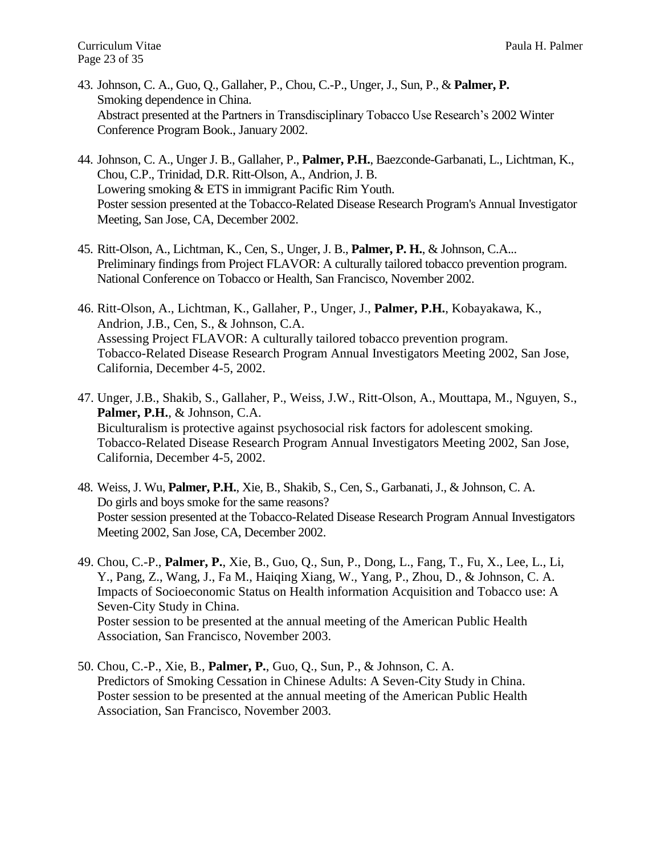- 43. Johnson, C. A., Guo, Q., Gallaher, P., Chou, C.-P., Unger, J., Sun, P., & **Palmer, P.** Smoking dependence in China. Abstract presented at the Partners in Transdisciplinary Tobacco Use Research's 2002 Winter Conference Program Book., January 2002.
- 44. Johnson, C. A., Unger J. B., Gallaher, P., **Palmer, P.H.**, Baezconde-Garbanati, L., Lichtman, K., Chou, C.P., Trinidad, D.R. Ritt-Olson, A., Andrion, J. B. Lowering smoking & ETS in immigrant Pacific Rim Youth. Poster session presented at the Tobacco-Related Disease Research Program's Annual Investigator Meeting, San Jose, CA, December 2002.
- 45. Ritt-Olson, A., Lichtman, K., Cen, S., Unger, J. B., **Palmer, P. H.**, & Johnson, C.A... Preliminary findings from Project FLAVOR: A culturally tailored tobacco prevention program. National Conference on Tobacco or Health, San Francisco, November 2002.
- 46. Ritt-Olson, A., Lichtman, K., Gallaher, P., Unger, J., **Palmer, P.H.**, Kobayakawa, K., Andrion, J.B., Cen, S., & Johnson, C.A. Assessing Project FLAVOR: A culturally tailored tobacco prevention program. Tobacco-Related Disease Research Program Annual Investigators Meeting 2002, San Jose, California, December 4-5, 2002.
- 47. Unger, J.B., Shakib, S., Gallaher, P., Weiss, J.W., Ritt-Olson, A., Mouttapa, M., Nguyen, S., **Palmer, P.H.**, & Johnson, C.A. Biculturalism is protective against psychosocial risk factors for adolescent smoking. Tobacco-Related Disease Research Program Annual Investigators Meeting 2002, San Jose, California, December 4-5, 2002.
- 48. Weiss, J. Wu, **Palmer, P.H.**, Xie, B., Shakib, S., Cen, S., Garbanati, J., & Johnson, C. A. Do girls and boys smoke for the same reasons? Poster session presented at the Tobacco-Related Disease Research Program Annual Investigators Meeting 2002, San Jose, CA, December 2002.
- 49. Chou, C.-P., **Palmer, P.**, Xie, B., Guo, Q., Sun, P., Dong, L., Fang, T., Fu, X., Lee, L., Li, Y., Pang, Z., Wang, J., Fa M., Haiqing Xiang, W., Yang, P., Zhou, D., & Johnson, C. A. Impacts of Socioeconomic Status on Health information Acquisition and Tobacco use: A Seven-City Study in China. Poster session to be presented at the annual meeting of the American Public Health Association, San Francisco, November 2003.
- 50. Chou, C.-P., Xie, B., **Palmer, P.**, Guo, Q., Sun, P., & Johnson, C. A. Predictors of Smoking Cessation in Chinese Adults: A Seven-City Study in China. Poster session to be presented at the annual meeting of the American Public Health Association, San Francisco, November 2003.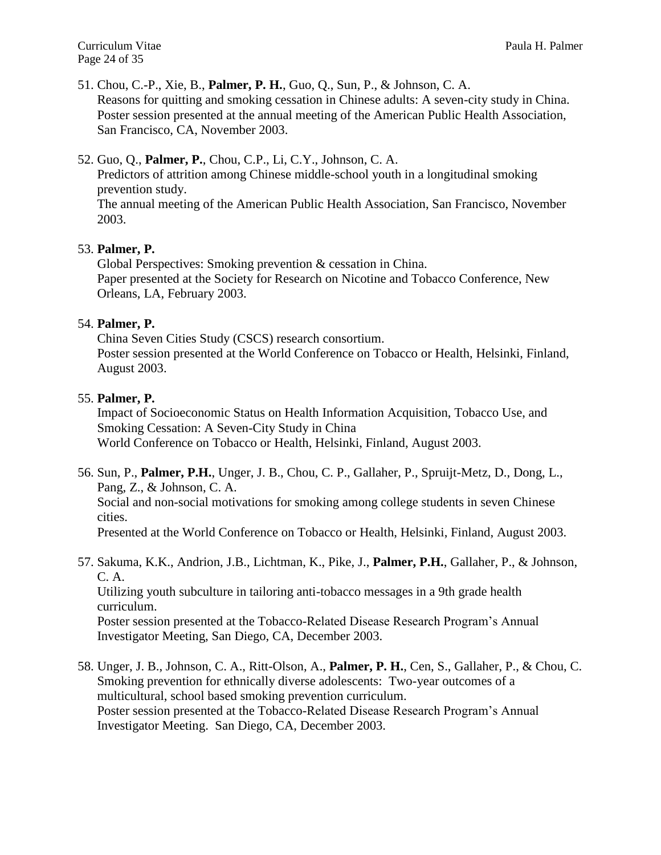Curriculum Vitae Paula H. Palmer Page 24 of 35

51. Chou, C.-P., Xie, B., **Palmer, P. H.**, Guo, Q., Sun, P., & Johnson, C. A. Reasons for quitting and smoking cessation in Chinese adults: A seven-city study in China. Poster session presented at the annual meeting of the American Public Health Association, San Francisco, CA, November 2003.

# 52. Guo, Q., **Palmer, P.**, Chou, C.P., Li, C.Y., Johnson, C. A.

Predictors of attrition among Chinese middle-school youth in a longitudinal smoking prevention study.

The annual meeting of the American Public Health Association, San Francisco, November 2003.

## 53. **Palmer, P.**

Global Perspectives: Smoking prevention & cessation in China. Paper presented at the Society for Research on Nicotine and Tobacco Conference, New Orleans, LA, February 2003.

## 54. **Palmer, P.**

China Seven Cities Study (CSCS) research consortium. Poster session presented at the World Conference on Tobacco or Health, Helsinki, Finland, August 2003.

## 55. **Palmer, P.**

Impact of Socioeconomic Status on Health Information Acquisition, Tobacco Use, and Smoking Cessation: A Seven-City Study in China World Conference on Tobacco or Health, Helsinki, Finland, August 2003.

56. Sun, P., **Palmer, P.H.**, Unger, J. B., Chou, C. P., Gallaher, P., Spruijt-Metz, D., Dong, L., Pang, Z., & Johnson, C. A.

Social and non-social motivations for smoking among college students in seven Chinese cities.

Presented at the World Conference on Tobacco or Health, Helsinki, Finland, August 2003.

57. Sakuma, K.K., Andrion, J.B., Lichtman, K., Pike, J., **Palmer, P.H.**, Gallaher, P., & Johnson, C. A.

Utilizing youth subculture in tailoring anti-tobacco messages in a 9th grade health curriculum.

Poster session presented at the Tobacco-Related Disease Research Program's Annual Investigator Meeting, San Diego, CA, December 2003.

58. Unger, J. B., Johnson, C. A., Ritt-Olson, A., **Palmer, P. H.**, Cen, S., Gallaher, P., & Chou, C. Smoking prevention for ethnically diverse adolescents: Two-year outcomes of a multicultural, school based smoking prevention curriculum. Poster session presented at the Tobacco-Related Disease Research Program's Annual Investigator Meeting. San Diego, CA, December 2003.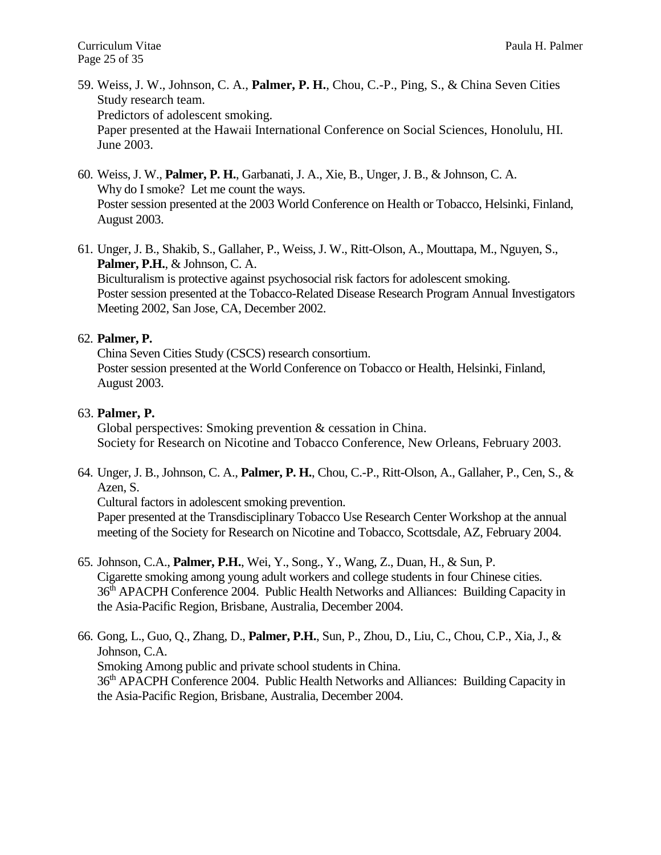- 59. Weiss, J. W., Johnson, C. A., **Palmer, P. H.**, Chou, C.-P., Ping, S., & China Seven Cities Study research team. Predictors of adolescent smoking. Paper presented at the Hawaii International Conference on Social Sciences, Honolulu, HI. June 2003.
- 60. Weiss, J. W., **Palmer, P. H.**, Garbanati, J. A., Xie, B., Unger, J. B., & Johnson, C. A. Why do I smoke? Let me count the ways. Poster session presented at the 2003 World Conference on Health or Tobacco, Helsinki, Finland, August 2003.
- 61. Unger, J. B., Shakib, S., Gallaher, P., Weiss, J. W., Ritt-Olson, A., Mouttapa, M., Nguyen, S., **Palmer, P.H.**, & Johnson, C. A. Biculturalism is protective against psychosocial risk factors for adolescent smoking. Poster session presented at the Tobacco-Related Disease Research Program Annual Investigators Meeting 2002, San Jose, CA, December 2002.

# 62. **Palmer, P.**

China Seven Cities Study (CSCS) research consortium. Poster session presented at the World Conference on Tobacco or Health, Helsinki, Finland, August 2003.

## 63. **Palmer, P.**

Global perspectives: Smoking prevention & cessation in China. Society for Research on Nicotine and Tobacco Conference, New Orleans, February 2003.

64. Unger, J. B., Johnson, C. A., **Palmer, P. H.**, Chou, C.-P., Ritt-Olson, A., Gallaher, P., Cen, S., & Azen, S.

Cultural factors in adolescent smoking prevention.

Paper presented at the Transdisciplinary Tobacco Use Research Center Workshop at the annual meeting of the Society for Research on Nicotine and Tobacco, Scottsdale, AZ, February 2004.

- 65. Johnson, C.A., **Palmer, P.H.**, Wei, Y., Song., Y., Wang, Z., Duan, H., & Sun, P. Cigarette smoking among young adult workers and college students in four Chinese cities. 36th APACPH Conference 2004. Public Health Networks and Alliances: Building Capacity in the Asia-Pacific Region, Brisbane, Australia, December 2004.
- 66. Gong, L., Guo, Q., Zhang, D., **Palmer, P.H.**, Sun, P., Zhou, D., Liu, C., Chou, C.P., Xia, J., & Johnson, C.A.

Smoking Among public and private school students in China.

36<sup>th</sup> APACPH Conference 2004. Public Health Networks and Alliances: Building Capacity in the Asia-Pacific Region, Brisbane, Australia, December 2004.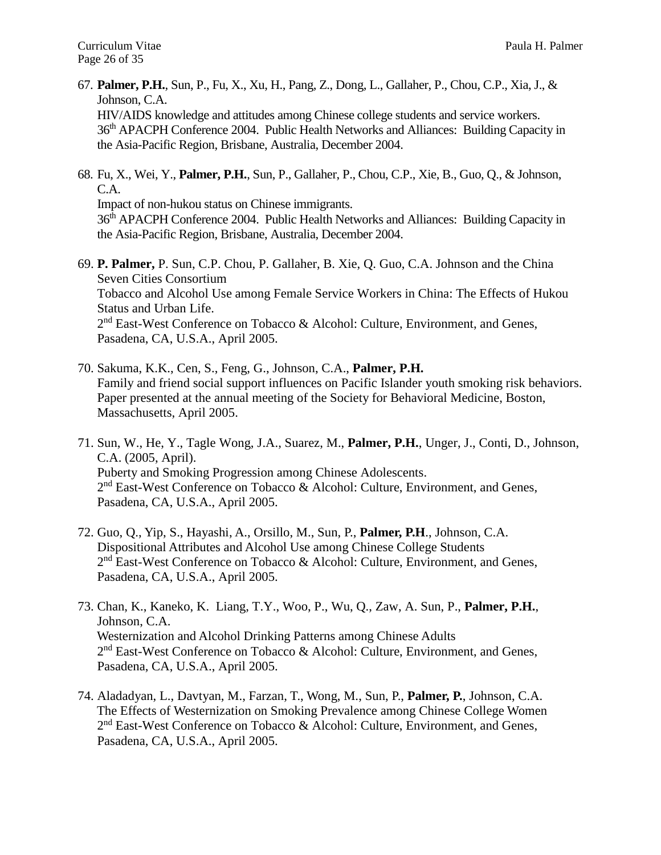- 67. **Palmer, P.H.**, Sun, P., Fu, X., Xu, H., Pang, Z., Dong, L., Gallaher, P., Chou, C.P., Xia, J., & Johnson, C.A. HIV/AIDS knowledge and attitudes among Chinese college students and service workers. 36<sup>th</sup> APACPH Conference 2004. Public Health Networks and Alliances: Building Capacity in the Asia-Pacific Region, Brisbane, Australia, December 2004.
- 68. Fu, X., Wei, Y., **Palmer, P.H.**, Sun, P., Gallaher, P., Chou, C.P., Xie, B., Guo, Q., & Johnson, C.A.

Impact of non-hukou status on Chinese immigrants.

36th APACPH Conference 2004. Public Health Networks and Alliances: Building Capacity in the Asia-Pacific Region, Brisbane, Australia, December 2004.

- 69. **P. Palmer,** P. Sun, C.P. Chou, P. Gallaher, B. Xie, Q. Guo, C.A. Johnson and the China Seven Cities Consortium Tobacco and Alcohol Use among Female Service Workers in China: The Effects of Hukou Status and Urban Life. 2<sup>nd</sup> East-West Conference on Tobacco & Alcohol: Culture, Environment, and Genes, Pasadena, CA, U.S.A., April 2005.
- 70. Sakuma, K.K., Cen, S., Feng, G., Johnson, C.A., **Palmer, P.H.** Family and friend social support influences on Pacific Islander youth smoking risk behaviors. Paper presented at the annual meeting of the Society for Behavioral Medicine, Boston, Massachusetts, April 2005.
- 71. Sun, W., He, Y., Tagle Wong, J.A., Suarez, M., **Palmer, P.H.**, Unger, J., Conti, D., Johnson, C.A. (2005, April). Puberty and Smoking Progression among Chinese Adolescents. 2<sup>nd</sup> East-West Conference on Tobacco & Alcohol: Culture, Environment, and Genes, Pasadena, CA, U.S.A., April 2005.
- 72. Guo, Q., Yip, S., Hayashi, A., Orsillo, M., Sun, P., **Palmer, P.H**., Johnson, C.A. Dispositional Attributes and Alcohol Use among Chinese College Students 2<sup>nd</sup> East-West Conference on Tobacco & Alcohol: Culture, Environment, and Genes, Pasadena, CA, U.S.A., April 2005.
- 73. Chan, K., Kaneko, K. Liang, T.Y., Woo, P., Wu, Q., Zaw, A. Sun, P., **Palmer, P.H.**, Johnson, C.A. Westernization and Alcohol Drinking Patterns among Chinese Adults 2<sup>nd</sup> East-West Conference on Tobacco & Alcohol: Culture, Environment, and Genes, Pasadena, CA, U.S.A., April 2005.
- 74. Aladadyan, L., Davtyan, M., Farzan, T., Wong, M., Sun, P., **Palmer, P.**, Johnson, C.A. The Effects of Westernization on Smoking Prevalence among Chinese College Women 2<sup>nd</sup> East-West Conference on Tobacco & Alcohol: Culture, Environment, and Genes, Pasadena, CA, U.S.A., April 2005.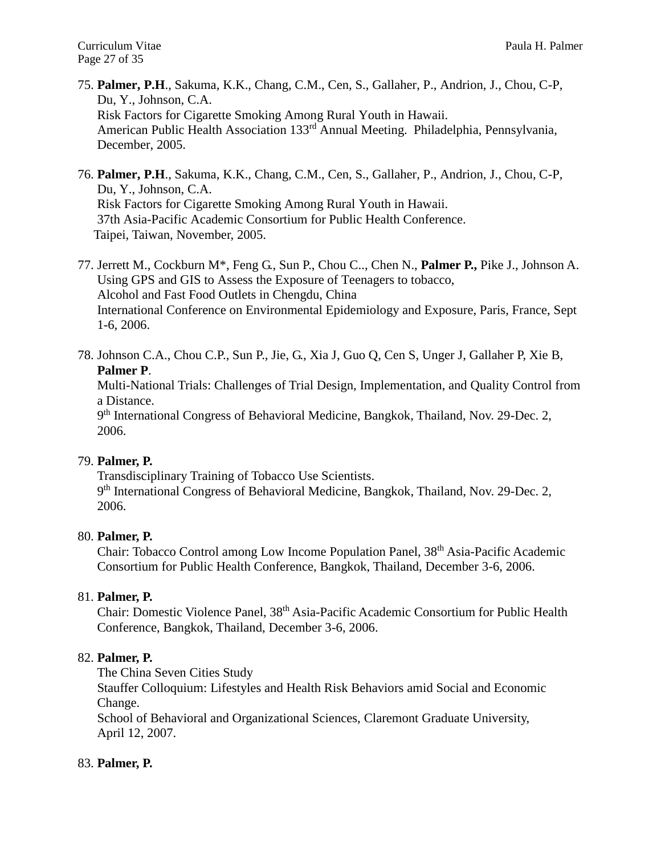- 75. **Palmer, P.H**., Sakuma, K.K., Chang, C.M., Cen, S., Gallaher, P., Andrion, J., Chou, C-P, Du, Y., Johnson, C.A. Risk Factors for Cigarette Smoking Among Rural Youth in Hawaii. American Public Health Association 133rd Annual Meeting. Philadelphia, Pennsylvania, December, 2005.
- 76. **Palmer, P.H**., Sakuma, K.K., Chang, C.M., Cen, S., Gallaher, P., Andrion, J., Chou, C-P, Du, Y., Johnson, C.A. Risk Factors for Cigarette Smoking Among Rural Youth in Hawaii. 37th Asia-Pacific Academic Consortium for Public Health Conference. Taipei, Taiwan, November, 2005.
- 77. Jerrett M., Cockburn M\*, Feng G., Sun P., Chou C.., Chen N., **Palmer P.,** Pike J., Johnson A. Using GPS and GIS to Assess the Exposure of Teenagers to tobacco, Alcohol and Fast Food Outlets in Chengdu, China International Conference on Environmental Epidemiology and Exposure, Paris, France, Sept 1-6, 2006.
- 78. Johnson C.A., Chou C.P., Sun P., Jie, G., Xia J, Guo Q, Cen S, Unger J, Gallaher P, Xie B, **Palmer P**.

Multi-National Trials: Challenges of Trial Design, Implementation, and Quality Control from a Distance.

9<sup>th</sup> International Congress of Behavioral Medicine, Bangkok, Thailand, Nov. 29-Dec. 2, 2006.

# 79. **Palmer, P.**

Transdisciplinary Training of Tobacco Use Scientists. 9<sup>th</sup> International Congress of Behavioral Medicine, Bangkok, Thailand, Nov. 29-Dec. 2, 2006.

# 80. **Palmer, P.**

Chair: Tobacco Control among Low Income Population Panel, 38<sup>th</sup> Asia-Pacific Academic Consortium for Public Health Conference, Bangkok, Thailand, December 3-6, 2006.

# 81. **Palmer, P.**

Chair: Domestic Violence Panel, 38th Asia-Pacific Academic Consortium for Public Health Conference, Bangkok, Thailand, December 3-6, 2006.

# 82. **Palmer, P.**

The China Seven Cities Study

Stauffer Colloquium: Lifestyles and Health Risk Behaviors amid Social and Economic Change.

School of Behavioral and Organizational Sciences, Claremont Graduate University, April 12, 2007.

# 83. **Palmer, P.**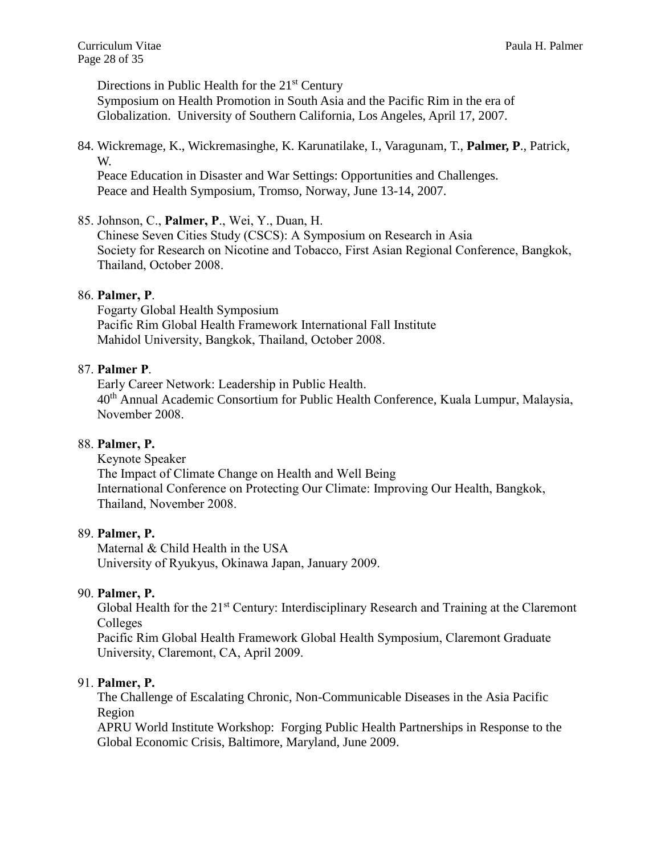Directions in Public Health for the 21<sup>st</sup> Century Symposium on Health Promotion in South Asia and the Pacific Rim in the era of Globalization. University of Southern California, Los Angeles, April 17, 2007.

84. Wickremage, K., Wickremasinghe, K. Karunatilake, I., Varagunam, T., **Palmer, P**., Patrick, W.

Peace Education in Disaster and War Settings: Opportunities and Challenges. Peace and Health Symposium, Tromso, Norway, June 13-14, 2007.

85. Johnson, C., **Palmer, P**., Wei, Y., Duan, H.

Chinese Seven Cities Study (CSCS): A Symposium on Research in Asia Society for Research on Nicotine and Tobacco, First Asian Regional Conference, Bangkok, Thailand, October 2008.

## 86. **Palmer, P**.

Fogarty Global Health Symposium Pacific Rim Global Health Framework International Fall Institute Mahidol University, Bangkok, Thailand, October 2008.

#### 87. **Palmer P**.

Early Career Network: Leadership in Public Health. 40<sup>th</sup> Annual Academic Consortium for Public Health Conference, Kuala Lumpur, Malaysia, November 2008.

#### 88. **Palmer, P.**

Keynote Speaker The Impact of Climate Change on Health and Well Being International Conference on Protecting Our Climate: Improving Our Health, Bangkok, Thailand, November 2008.

#### 89. **Palmer, P.**

Maternal & Child Health in the USA University of Ryukyus, Okinawa Japan, January 2009.

#### 90. **Palmer, P.**

Global Health for the 21<sup>st</sup> Century: Interdisciplinary Research and Training at the Claremont Colleges

Pacific Rim Global Health Framework Global Health Symposium, Claremont Graduate University, Claremont, CA, April 2009.

#### 91. **Palmer, P.**

The Challenge of Escalating Chronic, Non-Communicable Diseases in the Asia Pacific Region

APRU World Institute Workshop: Forging Public Health Partnerships in Response to the Global Economic Crisis, Baltimore, Maryland, June 2009.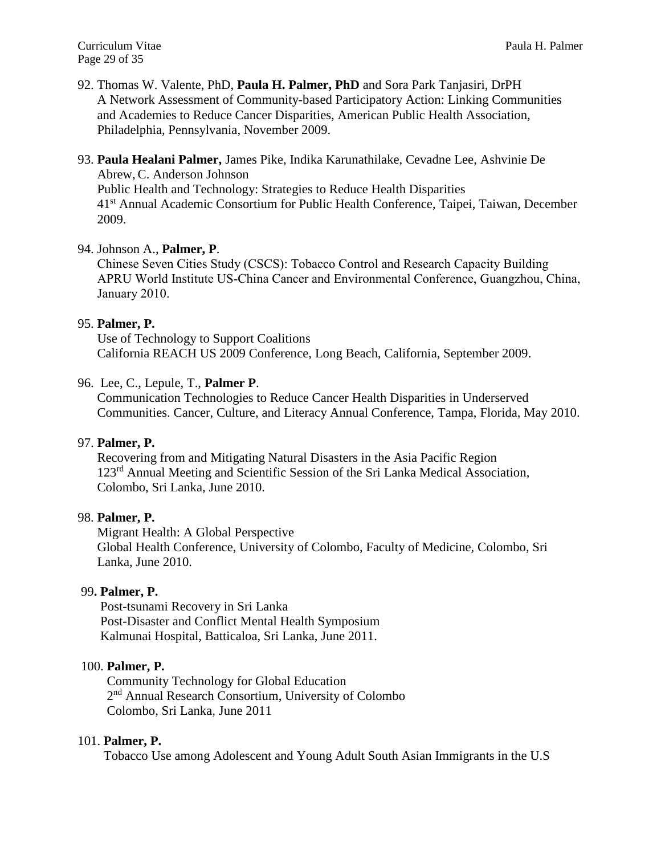92. Thomas W. Valente, PhD, **Paula H. Palmer, PhD** and Sora Park Tanjasiri, DrPH A Network Assessment of Community-based Participatory Action: Linking Communities and Academies to Reduce Cancer Disparities, American Public Health Association, Philadelphia, Pennsylvania, November 2009.

# 93. **Paula Healani Palmer,** James Pike, Indika Karunathilake, Cevadne Lee, Ashvinie De

Abrew, C. Anderson Johnson Public Health and Technology: Strategies to Reduce Health Disparities 41<sup>st</sup> Annual Academic Consortium for Public Health Conference, Taipei, Taiwan, December 2009.

## 94. Johnson A., **Palmer, P**.

Chinese Seven Cities Study (CSCS): Tobacco Control and Research Capacity Building APRU World Institute US-China Cancer and Environmental Conference, Guangzhou, China, January 2010.

## 95. **Palmer, P.**

Use of Technology to Support Coalitions California REACH US 2009 Conference, Long Beach, California, September 2009.

## 96. Lee, C., Lepule, T., **Palmer P**.

Communication Technologies to Reduce Cancer Health Disparities in Underserved Communities. Cancer, Culture, and Literacy Annual Conference, Tampa, Florida, May 2010.

#### 97. **Palmer, P.**

 Recovering from and Mitigating Natural Disasters in the Asia Pacific Region 123rd Annual Meeting and Scientific Session of the Sri Lanka Medical Association, Colombo, Sri Lanka, June 2010.

# 98. **Palmer, P.**

Migrant Health: A Global Perspective Global Health Conference, University of Colombo, Faculty of Medicine, Colombo, Sri Lanka, June 2010.

# 99**. Palmer, P.**

 Post-tsunami Recovery in Sri Lanka Post-Disaster and Conflict Mental Health Symposium Kalmunai Hospital, Batticaloa, Sri Lanka, June 2011.

#### 100. **Palmer, P.**

 Community Technology for Global Education 2 nd Annual Research Consortium, University of Colombo Colombo, Sri Lanka, June 2011

#### 101. **Palmer, P.**

Tobacco Use among Adolescent and Young Adult South Asian Immigrants in the U.S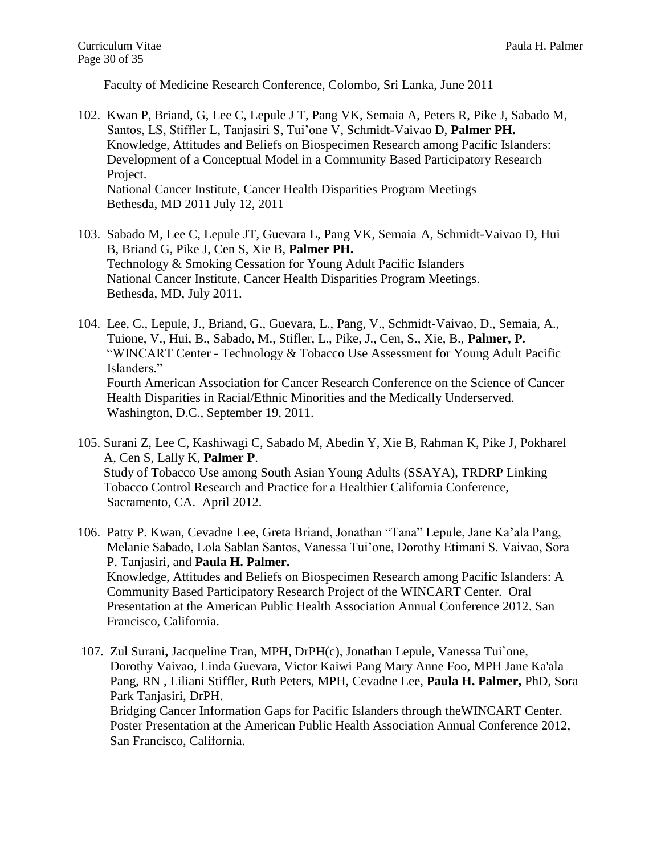Faculty of Medicine Research Conference, Colombo, Sri Lanka, June 2011

- 102. Kwan P, Briand, G, Lee C, Lepule J T, Pang VK, Semaia A, Peters R, Pike J, Sabado M, Santos, LS, Stiffler L, Tanjasiri S, Tui'one V, Schmidt-Vaivao D, **Palmer PH.** Knowledge, Attitudes and Beliefs on Biospecimen Research among Pacific Islanders: Development of a Conceptual Model in a Community Based Participatory Research Project. National Cancer Institute, Cancer Health Disparities Program Meetings Bethesda, MD 2011 July 12, 2011
- 103. Sabado M, Lee C, Lepule JT, Guevara L, Pang VK, Semaia A, Schmidt-Vaivao D, Hui B, Briand G, Pike J, Cen S, Xie B, **Palmer PH.** Technology & Smoking Cessation for Young Adult Pacific Islanders National Cancer Institute, Cancer Health Disparities Program Meetings. Bethesda, MD, July 2011.
- 104. Lee, C., Lepule, J., Briand, G., Guevara, L., Pang, V., Schmidt-Vaivao, D., Semaia, A., Tuione, V., Hui, B., Sabado, M., Stifler, L., Pike, J., Cen, S., Xie, B., **Palmer, P.** "WINCART Center - Technology & Tobacco Use Assessment for Young Adult Pacific Islanders." Fourth American Association for Cancer Research Conference on the Science of Cancer Health Disparities in Racial/Ethnic Minorities and the Medically Underserved. Washington, D.C., September 19, 2011.
- 105. Surani Z, Lee C, Kashiwagi C, Sabado M, Abedin Y, Xie B, Rahman K, Pike J, Pokharel A, Cen S, Lally K, **Palmer P**. Study of Tobacco Use among South Asian Young Adults (SSAYA), TRDRP Linking Tobacco Control Research and Practice for a Healthier California Conference, Sacramento, CA. April 2012.
- 106. Patty P. Kwan, Cevadne Lee, Greta Briand, Jonathan "Tana" Lepule, Jane Ka'ala Pang, Melanie Sabado, Lola Sablan Santos, Vanessa Tui'one, Dorothy Etimani S. Vaivao, Sora P. Tanjasiri, and **Paula H. Palmer.** Knowledge, Attitudes and Beliefs on Biospecimen Research among Pacific Islanders: A Community Based Participatory Research Project of the WINCART Center. Oral Presentation at the American Public Health Association Annual Conference 2012. San Francisco, California.
- 107. Zul Surani**,** Jacqueline Tran, MPH, DrPH(c), Jonathan Lepule, Vanessa Tui`one, Dorothy Vaivao, Linda Guevara, Victor Kaiwi Pang Mary Anne Foo, MPH Jane Ka'ala Pang, RN , Liliani Stiffler, Ruth Peters, MPH, Cevadne Lee, **Paula H. Palmer,** PhD, Sora Park Tanjasiri, DrPH. Bridging Cancer Information Gaps for Pacific Islanders through theWINCART Center. Poster Presentation at the American Public Health Association Annual Conference 2012, San Francisco, California.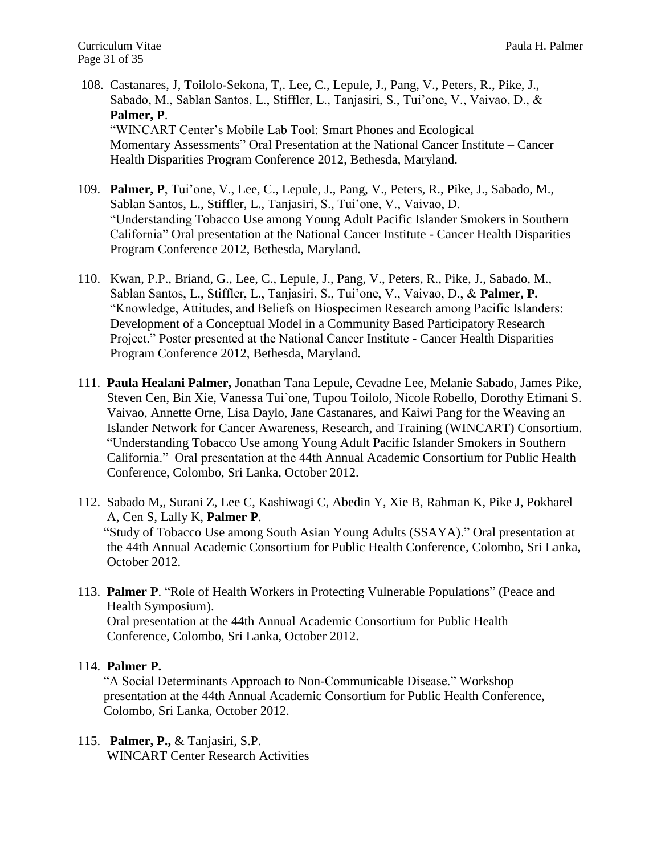- 108. Castanares, J, Toilolo-Sekona, T,. Lee, C., Lepule, J., Pang, V., Peters, R., Pike, J., Sabado, M., Sablan Santos, L., Stiffler, L., Tanjasiri, S., Tui'one, V., Vaivao, D., & **Palmer, P**. "WINCART Center's Mobile Lab Tool: Smart Phones and Ecological Momentary Assessments" Oral Presentation at the National Cancer Institute – Cancer Health Disparities Program Conference 2012, Bethesda, Maryland.
- 109. **Palmer, P**, Tui'one, V., Lee, C., Lepule, J., Pang, V., Peters, R., Pike, J., Sabado, M., Sablan Santos, L., Stiffler, L., Tanjasiri, S., Tui'one, V., Vaivao, D. "Understanding Tobacco Use among Young Adult Pacific Islander Smokers in Southern California" Oral presentation at the National Cancer Institute - Cancer Health Disparities Program Conference 2012, Bethesda, Maryland.
- 110. Kwan, P.P., Briand, G., Lee, C., Lepule, J., Pang, V., Peters, R., Pike, J., Sabado, M., Sablan Santos, L., Stiffler, L., Tanjasiri, S., Tui'one, V., Vaivao, D., & **Palmer, P.**  "Knowledge, Attitudes, and Beliefs on Biospecimen Research among Pacific Islanders: Development of a Conceptual Model in a Community Based Participatory Research Project." Poster presented at the National Cancer Institute - Cancer Health Disparities Program Conference 2012, Bethesda, Maryland.
- 111. **Paula Healani Palmer,** Jonathan Tana Lepule, Cevadne Lee, Melanie Sabado, James Pike, Steven Cen, Bin Xie, Vanessa Tui`one, Tupou Toilolo, Nicole Robello, Dorothy Etimani S. Vaivao, Annette Orne, Lisa Daylo, Jane Castanares, and Kaiwi Pang for the Weaving an Islander Network for Cancer Awareness, Research, and Training (WINCART) Consortium. "Understanding Tobacco Use among Young Adult Pacific Islander Smokers in Southern California." Oral presentation at the 44th Annual Academic Consortium for Public Health Conference, Colombo, Sri Lanka, October 2012.
- 112. Sabado M,, Surani Z, Lee C, Kashiwagi C, Abedin Y, Xie B, Rahman K, Pike J, Pokharel A, Cen S, Lally K, **Palmer P**. "Study of Tobacco Use among South Asian Young Adults (SSAYA)." Oral presentation at the 44th Annual Academic Consortium for Public Health Conference, Colombo, Sri Lanka, October 2012.
- 113. **Palmer P**. "Role of Health Workers in Protecting Vulnerable Populations" (Peace and Health Symposium). Oral presentation at the 44th Annual Academic Consortium for Public Health

Conference, Colombo, Sri Lanka, October 2012.

#### 114. **Palmer P.**

 "A Social Determinants Approach to Non-Communicable Disease." Workshop presentation at the 44th Annual Academic Consortium for Public Health Conference, Colombo, Sri Lanka, October 2012.

115. **Palmer, P.,** & Tanjasiri*,* S.P. WINCART Center Research Activities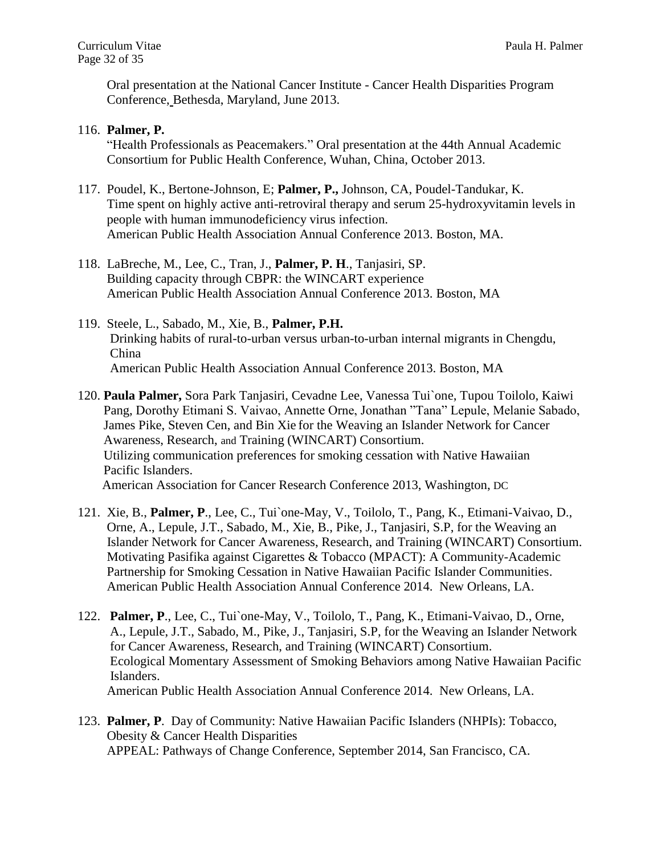Oral presentation at the National Cancer Institute - Cancer Health Disparities Program Conference, Bethesda, Maryland, June 2013.

### 116. **Palmer, P.**

"Health Professionals as Peacemakers." Oral presentation at the 44th Annual Academic Consortium for Public Health Conference, Wuhan, China, October 2013.

- 117. Poudel, K., Bertone-Johnson, E; **Palmer, P.,** Johnson, CA, Poudel-Tandukar, K. Time spent on highly active anti-retroviral therapy and serum 25-hydroxyvitamin levels in people with human immunodeficiency virus infection. American Public Health Association Annual Conference 2013. Boston, MA.
- 118. LaBreche, M., Lee, C., Tran, J., **Palmer, P. H**., Tanjasiri, SP. Building capacity through CBPR: the WINCART experience American Public Health Association Annual Conference 2013. Boston, MA
- 119. Steele, L., Sabado, M., Xie, B., **Palmer, P.H.** Drinking habits of rural-to-urban versus urban-to-urban internal migrants in Chengdu, China American Public Health Association Annual Conference 2013. Boston, MA
- 120. **Paula Palmer,** Sora Park Tanjasiri, Cevadne Lee, Vanessa Tui`one, Tupou Toilolo, Kaiwi Pang, Dorothy Etimani S. Vaivao, Annette Orne, Jonathan "Tana" Lepule, Melanie Sabado, James Pike, Steven Cen, and Bin Xie for the Weaving an Islander Network for Cancer Awareness, Research, and Training (WINCART) Consortium. Utilizing communication preferences for smoking cessation with Native Hawaiian Pacific Islanders. American Association for Cancer Research Conference 2013, Washington, DC
- 121. Xie, B., **Palmer, P**., Lee, C., Tui`one-May, V., Toilolo, T., Pang, K., Etimani-Vaivao, D., Orne, A., Lepule, J.T., Sabado, M., Xie, B., Pike, J., Tanjasiri, S.P, for the Weaving an Islander Network for Cancer Awareness, Research, and Training (WINCART) Consortium. Motivating Pasifika against Cigarettes & Tobacco (MPACT): A Community-Academic Partnership for Smoking Cessation in Native Hawaiian Pacific Islander Communities. American Public Health Association Annual Conference 2014. New Orleans, LA.
- 122. **Palmer, P**., Lee, C., Tui`one-May, V., Toilolo, T., Pang, K., Etimani-Vaivao, D., Orne, A., Lepule, J.T., Sabado, M., Pike, J., Tanjasiri, S.P, for the Weaving an Islander Network for Cancer Awareness, Research, and Training (WINCART) Consortium. Ecological Momentary Assessment of Smoking Behaviors among Native Hawaiian Pacific Islanders. American Public Health Association Annual Conference 2014. New Orleans, LA.
- 123. **Palmer, P**. Day of Community: Native Hawaiian Pacific Islanders (NHPIs): Tobacco, Obesity & Cancer Health Disparities APPEAL: Pathways of Change Conference, September 2014, San Francisco, CA.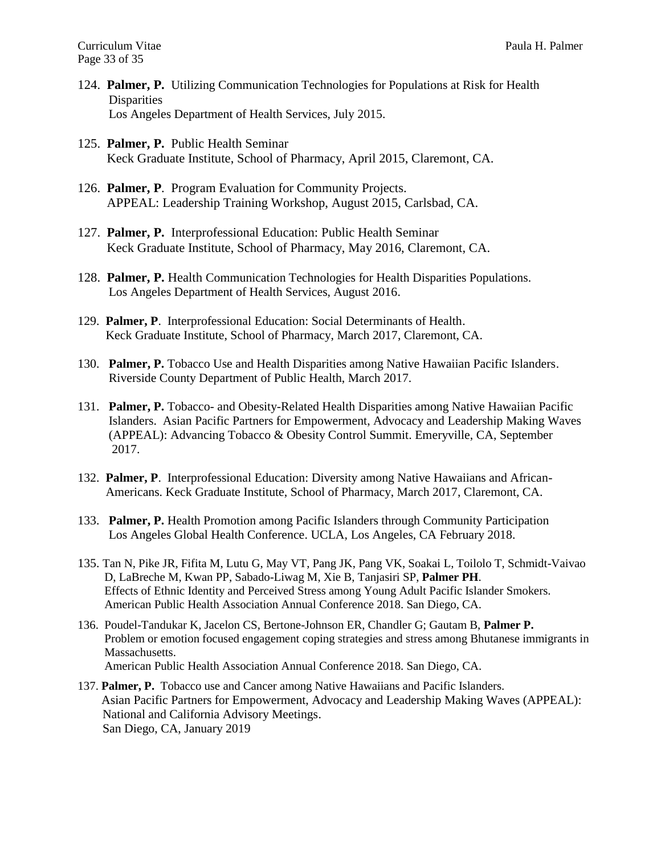- 124. **Palmer, P.** Utilizing Communication Technologies for Populations at Risk for Health **Disparities** Los Angeles Department of Health Services, July 2015.
- 125. **Palmer, P.** Public Health Seminar Keck Graduate Institute, School of Pharmacy, April 2015, Claremont, CA.
- 126. **Palmer, P**. Program Evaluation for Community Projects. APPEAL: Leadership Training Workshop, August 2015, Carlsbad, CA.
- 127. **Palmer, P.** Interprofessional Education: Public Health Seminar Keck Graduate Institute, School of Pharmacy, May 2016, Claremont, CA.
- 128. **Palmer, P.** Health Communication Technologies for Health Disparities Populations. Los Angeles Department of Health Services, August 2016.
- 129. **Palmer, P**. Interprofessional Education: Social Determinants of Health. Keck Graduate Institute, School of Pharmacy, March 2017, Claremont, CA.
- 130. **Palmer, P.** Tobacco Use and Health Disparities among Native Hawaiian Pacific Islanders. Riverside County Department of Public Health, March 2017.
- 131. **Palmer, P.** Tobacco- and Obesity-Related Health Disparities among Native Hawaiian Pacific Islanders. Asian Pacific Partners for Empowerment, Advocacy and Leadership Making Waves (APPEAL): Advancing Tobacco & Obesity Control Summit. Emeryville, CA, September 2017.
- 132. **Palmer, P**. Interprofessional Education: Diversity among Native Hawaiians and African- Americans. Keck Graduate Institute, School of Pharmacy, March 2017, Claremont, CA.
- 133. **Palmer, P.** Health Promotion among Pacific Islanders through Community Participation Los Angeles Global Health Conference. UCLA, Los Angeles, CA February 2018.
- 135. Tan N, Pike JR, Fifita M, Lutu G, May VT, Pang JK, Pang VK, Soakai L, Toilolo T, Schmidt-Vaivao D, LaBreche M, Kwan PP, Sabado-Liwag M, Xie B, Tanjasiri SP, **Palmer PH**. Effects of Ethnic Identity and Perceived Stress among Young Adult Pacific Islander Smokers. American Public Health Association Annual Conference 2018. San Diego, CA.
- 136. Poudel-Tandukar K, Jacelon CS, Bertone-Johnson ER, Chandler G; Gautam B, **Palmer P.** Problem or emotion focused engagement coping strategies and stress among Bhutanese immigrants in Massachusetts. American Public Health Association Annual Conference 2018. San Diego, CA.
- 137. **Palmer, P.** Tobacco use and Cancer among Native Hawaiians and Pacific Islanders. Asian Pacific Partners for Empowerment, Advocacy and Leadership Making Waves (APPEAL): National and California Advisory Meetings. San Diego, CA, January 2019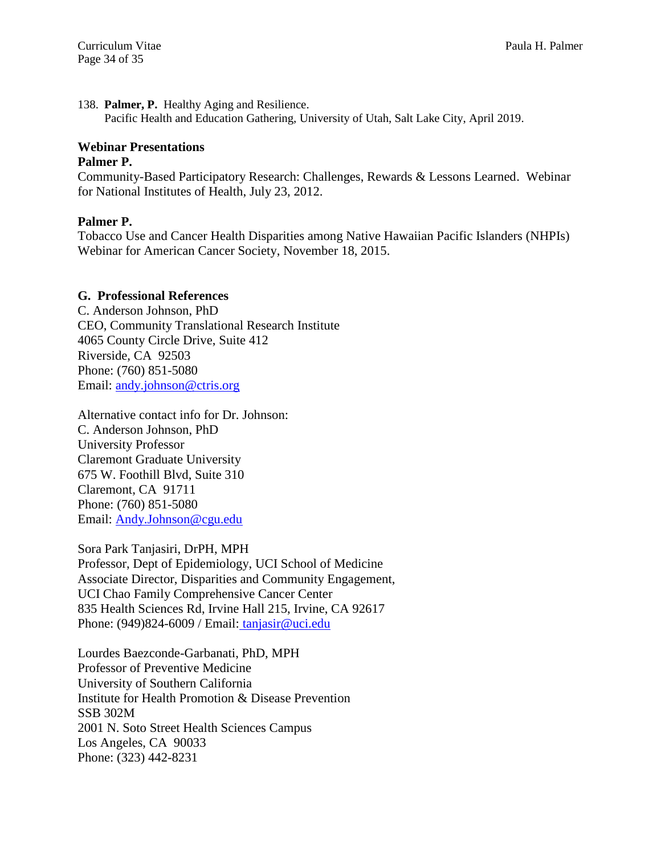138. **Palmer, P.** Healthy Aging and Resilience.

Pacific Health and Education Gathering, University of Utah, Salt Lake City, April 2019.

# **Webinar Presentations**

#### **Palmer P.**

Community-Based Participatory Research: Challenges, Rewards & Lessons Learned. Webinar for National Institutes of Health, July 23, 2012.

#### **Palmer P.**

Tobacco Use and Cancer Health Disparities among Native Hawaiian Pacific Islanders (NHPIs) Webinar for American Cancer Society, November 18, 2015.

#### **G. Professional References**

C. Anderson Johnson, PhD CEO, Community Translational Research Institute 4065 County Circle Drive, Suite 412 Riverside, CA 92503 Phone: (760) 851-5080 Email: [andy.johnson@ctris.org](LATEST%20CVS/andy.johnson@ctris.org)

Alternative contact info for Dr. Johnson: C. Anderson Johnson, PhD University Professor Claremont Graduate University 675 W. Foothill Blvd, Suite 310 Claremont, CA 91711 Phone: (760) 851-5080 Email: [Andy.Johnson@cgu.edu](LATEST%20CVS/Andy.Johnson@cgu.edu)

Sora Park Tanjasiri, DrPH, MPH

Professor, Dept of Epidemiology, UCI School of Medicine Associate Director, Disparities and Community Engagement, UCI Chao Family Comprehensive Cancer Center 835 Health Sciences Rd, Irvine Hall 215, Irvine, CA 92617 Phone: (949)824-6009 / Email: [tanjasir@uci.edu](LATEST%20CVS/%20tanjasir@uci.edu)

Lourdes Baezconde-Garbanati, PhD, MPH Professor of Preventive Medicine University of Southern California Institute for Health Promotion & Disease Prevention SSB 302M 2001 N. Soto Street Health Sciences Campus Los Angeles, CA 90033 Phone: (323) 442-8231